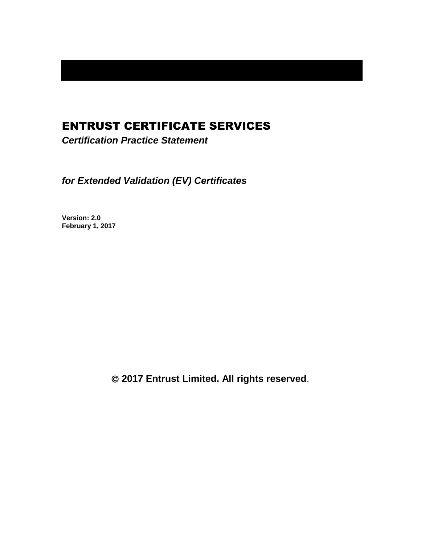# ENTRUST CERTIFICATE SERVICES

*Certification Practice Statement*

*for Extended Validation (EV) Certificates*

**Version: 2.0 February 1, 2017**

**2017 Entrust Limited. All rights reserved**.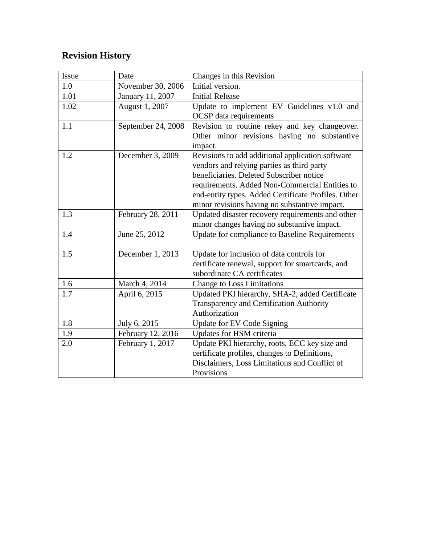# **Revision History**

| Issue | Date               | Changes in this Revision                            |
|-------|--------------------|-----------------------------------------------------|
| 1.0   | November 30, 2006  | Initial version.                                    |
| 1.01  | January 11, 2007   | <b>Initial Release</b>                              |
| 1.02  | August 1, 2007     | Update to implement EV Guidelines v1.0 and          |
|       |                    | <b>OCSP</b> data requirements                       |
| 1.1   | September 24, 2008 | Revision to routine rekey and key changeover.       |
|       |                    | Other minor revisions having no substantive         |
|       |                    | impact.                                             |
| 1.2   | December 3, 2009   | Revisions to add additional application software    |
|       |                    | vendors and relying parties as third party          |
|       |                    | beneficiaries. Deleted Subscriber notice            |
|       |                    | requirements. Added Non-Commercial Entities to      |
|       |                    | end-entity types. Added Certificate Profiles. Other |
|       |                    | minor revisions having no substantive impact.       |
| 1.3   | February 28, 2011  | Updated disaster recovery requirements and other    |
|       |                    | minor changes having no substantive impact.         |
| 1.4   | June 25, 2012      | Update for compliance to Baseline Requirements      |
|       |                    |                                                     |
| 1.5   | December 1, 2013   | Update for inclusion of data controls for           |
|       |                    | certificate renewal, support for smartcards, and    |
|       |                    | subordinate CA certificates                         |
| 1.6   | March 4, 2014      | <b>Change to Loss Limitations</b>                   |
| 1.7   | April 6, 2015      | Updated PKI hierarchy, SHA-2, added Certificate     |
|       |                    | Transparency and Certification Authority            |
|       |                    | Authorization                                       |
| 1.8   | July 6, 2015       | Update for EV Code Signing                          |
| 1.9   | February 12, 2016  | Updates for HSM criteria                            |
| 2.0   | February 1, 2017   | Update PKI hierarchy, roots, ECC key size and       |
|       |                    | certificate profiles, changes to Definitions,       |
|       |                    | Disclaimers, Loss Limitations and Conflict of       |
|       |                    | Provisions                                          |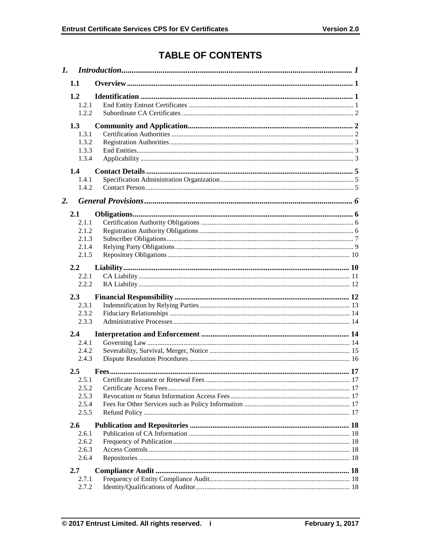# **TABLE OF CONTENTS**

|    | 1.1              |  |
|----|------------------|--|
|    | 1.2              |  |
|    | 1.2.1            |  |
|    | 1.2.2            |  |
|    | 1.3              |  |
|    | 1.3.1            |  |
|    | 1.3.2            |  |
|    | 1.3.3            |  |
|    | 1.3.4            |  |
|    | 1.4              |  |
|    | 1.4.1            |  |
|    | 1.4.2            |  |
| 2. |                  |  |
|    | 2.1              |  |
|    | 2.1.1            |  |
|    | 2.1.2            |  |
|    | 2.1.3            |  |
|    | 2.1.4            |  |
|    | 2.1.5            |  |
|    | 2.2              |  |
|    | 2.2.1            |  |
|    | 2.2.2            |  |
|    | 2.3              |  |
|    | 2.3.1            |  |
|    | 2.3.2            |  |
|    | 2.3.3            |  |
|    | $2.4\phantom{0}$ |  |
|    | 2.4.1            |  |
|    | 2.4.2            |  |
|    | 2.4.3            |  |
|    | 2.5              |  |
|    | 2.5.1            |  |
|    | 2.5.2            |  |
|    | 2.5.3            |  |
|    | 2.5.4            |  |
|    | 2.5.5            |  |
|    | 2.6              |  |
|    | 2.6.1            |  |
|    | 2.6.2            |  |
|    | 2.6.3            |  |
|    | 2.6.4            |  |
|    | 2.7              |  |
|    | 2.7.1            |  |
|    | 2.7.2            |  |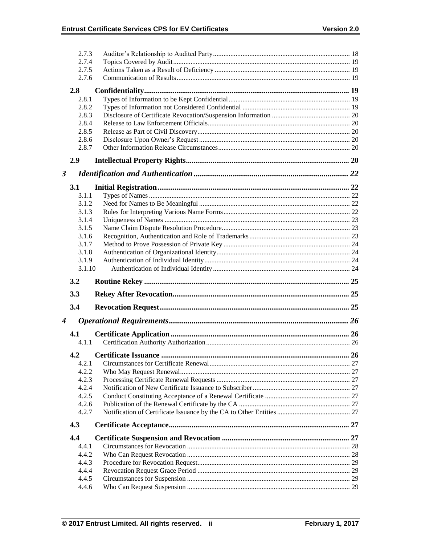|                      | 2.7.3  |    |
|----------------------|--------|----|
|                      | 2.7.4  |    |
|                      | 2.7.5  |    |
|                      | 2.7.6  |    |
|                      | 2.8    |    |
|                      | 2.8.1  |    |
|                      | 2.8.2  |    |
|                      | 2.8.3  |    |
|                      | 2.8.4  |    |
|                      | 2.8.5  |    |
|                      | 2.8.6  |    |
|                      | 2.8.7  |    |
|                      | 2.9    |    |
|                      |        |    |
| $\boldsymbol{\beta}$ |        |    |
|                      | 3.1    |    |
|                      | 3.1.1  |    |
|                      | 3.1.2  |    |
|                      | 3.1.3  |    |
|                      | 3.1.4  |    |
|                      | 3.1.5  |    |
|                      | 3.1.6  |    |
|                      | 3.1.7  |    |
|                      | 3.1.8  |    |
|                      | 3.1.9  |    |
|                      |        |    |
|                      | 3.1.10 |    |
|                      | 3.2    |    |
|                      | 3.3    |    |
|                      | 3.4    |    |
|                      |        |    |
| $\boldsymbol{4}$     |        |    |
|                      | 4.1    |    |
|                      | 4.1.1  |    |
|                      | 4.2    | 26 |
|                      | 4.2.1  |    |
|                      | 4.2.2  |    |
|                      | 4.2.3  |    |
|                      | 4.2.4  |    |
|                      | 4.2.5  |    |
|                      | 4.2.6  |    |
|                      | 4.2.7  |    |
|                      | 4.3    |    |
|                      | 4.4    |    |
|                      | 4.4.1  |    |
|                      | 4.4.2  |    |
|                      | 4.4.3  |    |
|                      | 4.4.4  |    |
|                      | 4.4.5  |    |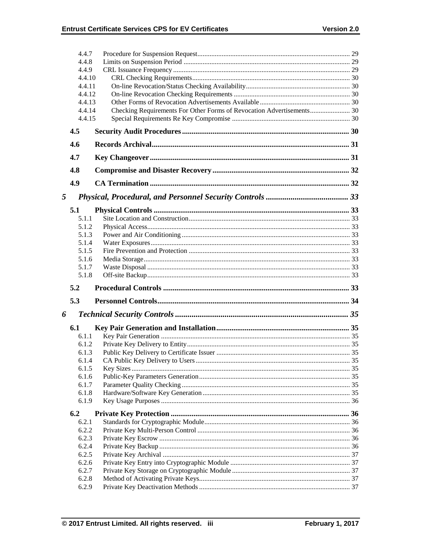|        | 4.4.7          |                                                                       |  |
|--------|----------------|-----------------------------------------------------------------------|--|
|        | 4.4.8          |                                                                       |  |
|        | 4.4.9          |                                                                       |  |
| 4.4.10 |                |                                                                       |  |
|        | 4.4.11         |                                                                       |  |
| 4.4.12 |                |                                                                       |  |
|        | 4.4.13         |                                                                       |  |
|        | 4.4.14         | Checking Requirements For Other Forms of Revocation Advertisements 30 |  |
|        | 4.4.15         |                                                                       |  |
|        | 4.5            |                                                                       |  |
|        | 4.6            |                                                                       |  |
|        | 4.7            |                                                                       |  |
|        | 4.8            |                                                                       |  |
|        | 4.9            |                                                                       |  |
| 5      |                |                                                                       |  |
|        | 5.1            |                                                                       |  |
|        | 5.1.1          |                                                                       |  |
|        | 5.1.2          |                                                                       |  |
|        | 5.1.3          |                                                                       |  |
|        | 5.1.4          |                                                                       |  |
|        | 5.1.5          |                                                                       |  |
|        | 5.1.6          |                                                                       |  |
|        | 5.1.7          |                                                                       |  |
|        | 5.1.8          |                                                                       |  |
|        |                |                                                                       |  |
|        | 5.2            |                                                                       |  |
|        | 5.3            |                                                                       |  |
| 6      |                |                                                                       |  |
|        | 6.1            |                                                                       |  |
|        | 6.1.1          |                                                                       |  |
|        | 6.1.2          |                                                                       |  |
|        | 6.1.3          |                                                                       |  |
|        | 6.1.4          |                                                                       |  |
|        | 6.1.5          |                                                                       |  |
|        | 6.1.6          |                                                                       |  |
|        | 6.1.7          |                                                                       |  |
|        | 6.1.8          |                                                                       |  |
|        | 6.1.9          |                                                                       |  |
|        | 6.2            |                                                                       |  |
|        | 6.2.1<br>6.2.2 |                                                                       |  |
|        | 6.2.3          |                                                                       |  |
|        | 6.2.4          |                                                                       |  |
|        | 6.2.5          |                                                                       |  |
|        | 6.2.6          |                                                                       |  |
|        | 6.2.7          |                                                                       |  |
|        | 6.2.8<br>6.2.9 |                                                                       |  |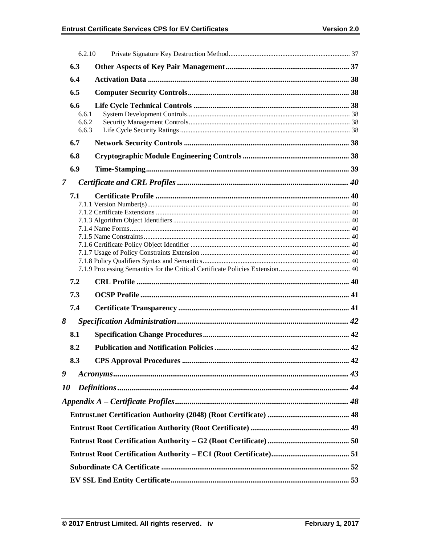|                | 6.2.10                         |  |
|----------------|--------------------------------|--|
|                | 6.3                            |  |
|                | 6.4                            |  |
|                | 6.5                            |  |
|                | 6.6<br>6.6.1<br>6.6.2<br>6.6.3 |  |
|                | 6.7                            |  |
|                | 6.8                            |  |
|                | 6.9                            |  |
| $\overline{7}$ |                                |  |
|                | 7.1                            |  |
|                | 7.2                            |  |
|                | 7.3                            |  |
|                | 7.4                            |  |
| 8              |                                |  |
|                | 8.1                            |  |
|                | 8.2                            |  |
|                | 8.3                            |  |
| 9              |                                |  |
| <i>10</i>      |                                |  |
|                |                                |  |
|                |                                |  |
|                |                                |  |
|                |                                |  |
|                |                                |  |
|                |                                |  |
|                |                                |  |
|                |                                |  |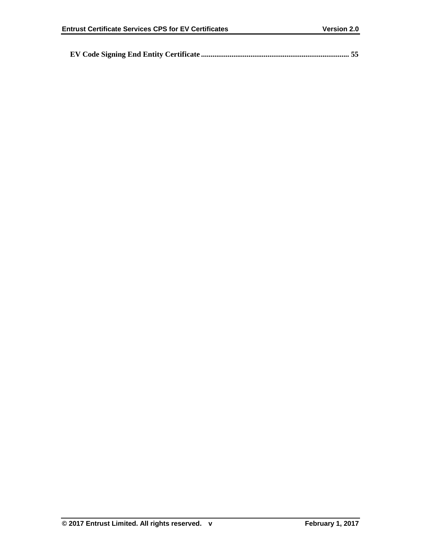|--|--|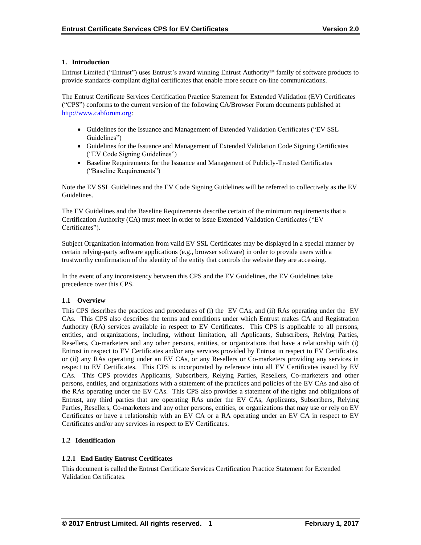## **1. Introduction**

Entrust Limited ("Entrust") uses Entrust's award winning Entrust Authority family of software products to provide standards-compliant digital certificates that enable more secure on-line communications.

The Entrust Certificate Services Certification Practice Statement for Extended Validation (EV) Certificates ("CPS") conforms to the current version of the following CA/Browser Forum documents published at [http://www.cabforum.org:](http://www.cabforum.org/)

- Guidelines for the Issuance and Management of Extended Validation Certificates ("EV SSL Guidelines")
- Guidelines for the Issuance and Management of Extended Validation Code Signing Certificates ("EV Code Signing Guidelines")
- Baseline Requirements for the Issuance and Management of Publicly-Trusted Certificates ("Baseline Requirements")

Note the EV SSL Guidelines and the EV Code Signing Guidelines will be referred to collectively as the EV Guidelines.

The EV Guidelines and the Baseline Requirements describe certain of the minimum requirements that a Certification Authority (CA) must meet in order to issue Extended Validation Certificates ("EV Certificates").

Subject Organization information from valid EV SSL Certificates may be displayed in a special manner by certain relying-party software applications (e.g., browser software) in order to provide users with a trustworthy confirmation of the identity of the entity that controls the website they are accessing.

In the event of any inconsistency between this CPS and the EV Guidelines, the EV Guidelines take precedence over this CPS.

# **1.1 Overview**

This CPS describes the practices and procedures of (i) the EV CAs, and (ii) RAs operating under the EV CAs. This CPS also describes the terms and conditions under which Entrust makes CA and Registration Authority (RA) services available in respect to EV Certificates. This CPS is applicable to all persons, entities, and organizations, including, without limitation, all Applicants, Subscribers, Relying Parties, Resellers, Co-marketers and any other persons, entities, or organizations that have a relationship with (i) Entrust in respect to EV Certificates and/or any services provided by Entrust in respect to EV Certificates, or (ii) any RAs operating under an EV CAs, or any Resellers or Co-marketers providing any services in respect to EV Certificates. This CPS is incorporated by reference into all EV Certificates issued by EV CAs. This CPS provides Applicants, Subscribers, Relying Parties, Resellers, Co-marketers and other persons, entities, and organizations with a statement of the practices and policies of the EV CAs and also of the RAs operating under the EV CAs. This CPS also provides a statement of the rights and obligations of Entrust, any third parties that are operating RAs under the EV CAs, Applicants, Subscribers, Relying Parties, Resellers, Co-marketers and any other persons, entities, or organizations that may use or rely on EV Certificates or have a relationship with an EV CA or a RA operating under an EV CA in respect to EV Certificates and/or any services in respect to EV Certificates.

# **1.2 Identification**

# **1.2.1 End Entity Entrust Certificates**

This document is called the Entrust Certificate Services Certification Practice Statement for Extended Validation Certificates.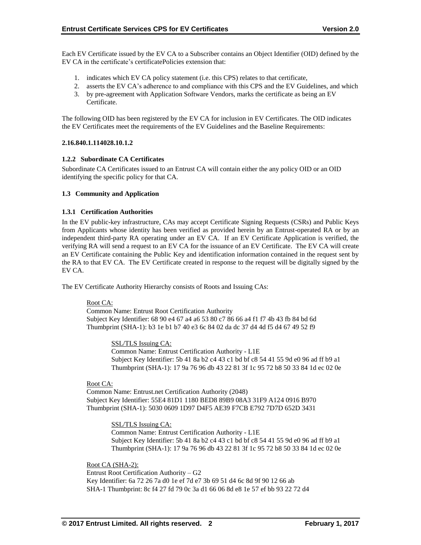Each EV Certificate issued by the EV CA to a Subscriber contains an Object Identifier (OID) defined by the EV CA in the certificate's certificatePolicies extension that:

- 1. indicates which EV CA policy statement (i.e. this CPS) relates to that certificate,
- 2. asserts the EV CA's adherence to and compliance with this CPS and the EV Guidelines, and which
- 3. by pre-agreement with Application Software Vendors, marks the certificate as being an EV Certificate.

The following OID has been registered by the EV CA for inclusion in EV Certificates. The OID indicates the EV Certificates meet the requirements of the EV Guidelines and the Baseline Requirements:

## **2.16.840.1.114028.10.1.2**

## **1.2.2 Subordinate CA Certificates**

Subordinate CA Certificates issued to an Entrust CA will contain either the any policy OID or an OID identifying the specific policy for that CA.

## **1.3 Community and Application**

## **1.3.1 Certification Authorities**

In the EV public-key infrastructure, CAs may accept Certificate Signing Requests (CSRs) and Public Keys from Applicants whose identity has been verified as provided herein by an Entrust-operated RA or by an independent third-party RA operating under an EV CA. If an EV Certificate Application is verified, the verifying RA will send a request to an EV CA for the issuance of an EV Certificate. The EV CA will create an EV Certificate containing the Public Key and identification information contained in the request sent by the RA to that EV CA. The EV Certificate created in response to the request will be digitally signed by the EV CA.

The EV Certificate Authority Hierarchy consists of Roots and Issuing CAs:

#### Root CA:

Common Name: Entrust Root Certification Authority Subject Key Identifier: 68 90 e4 67 a4 a6 53 80 c7 86 66 a4 f1 f7 4b 43 fb 84 bd 6d Thumbprint (SHA-1): b3 1e b1 b7 40 e3 6c 84 02 da dc 37 d4 4d f5 d4 67 49 52 f9

> SSL/TLS Issuing CA: Common Name: Entrust Certification Authority - L1E Subject Key Identifier: 5b 41 8a b2 c4 43 c1 bd bf c8 54 41 55 9d e0 96 ad ff b9 a1 Thumbprint (SHA-1): 17 9a 76 96 db 43 22 81 3f 1c 95 72 b8 50 33 84 1d ec 02 0e

#### Root CA:

Common Name: Entrust.net Certification Authority (2048) Subject Key Identifier: 55E4 81D1 1180 BED8 89B9 08A3 31F9 A124 0916 B970 Thumbprint (SHA-1): 5030 0609 1D97 D4F5 AE39 F7CB E792 7D7D 652D 3431

> SSL/TLS Issuing CA: Common Name: Entrust Certification Authority - L1E

Subject Key Identifier: 5b 41 8a b2 c4 43 c1 bd bf c8 54 41 55 9d e0 96 ad ff b9 a1 Thumbprint (SHA-1): 17 9a 76 96 db 43 22 81 3f 1c 95 72 b8 50 33 84 1d ec 02 0e

Root CA (SHA-2): Entrust Root Certification Authority – G2 Key Identifier: 6a 72 26 7a d0 1e ef 7d e7 3b 69 51 d4 6c 8d 9f 90 12 66 ab SHA-1 Thumbprint: 8c f4 27 fd 79 0c 3a d1 66 06 8d e8 1e 57 ef bb 93 22 72 d4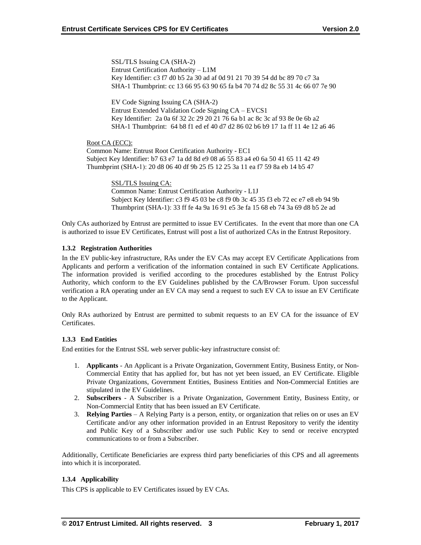SSL/TLS Issuing CA (SHA-2) Entrust Certification Authority – L1M Key Identifier: c3 f7 d0 b5 2a 30 ad af 0d 91 21 70 39 54 dd bc 89 70 c7 3a SHA-1 Thumbprint: cc 13 66 95 63 90 65 fa b4 70 74 d2 8c 55 31 4c 66 07 7e 90

EV Code Signing Issuing CA (SHA-2) Entrust Extended Validation Code Signing CA – EVCS1 Key Identifier: 2a 0a 6f 32 2c 29 20 21 76 6a b1 ac 8c 3c af 93 8e 0e 6b a2 SHA-1 Thumbprint: 64 b8 f1 ed ef 40 d7 d2 86 02 b6 b9 17 1a ff 11 4e 12 a6 46

Root CA (ECC): Common Name: Entrust Root Certification Authority - EC1 Subject Key Identifier: b7 63 e7 1a dd 8d e9 08 a6 55 83 a4 e0 6a 50 41 65 11 42 49 Thumbprint (SHA-1): 20 d8 06 40 df 9b 25 f5 12 25 3a 11 ea f7 59 8a eb 14 b5 47

> SSL/TLS Issuing CA: Common Name: Entrust Certification Authority - L1J Subject Key Identifier: c3 f9 45 03 be c8 f9 0b 3c 45 35 f3 eb 72 ec e7 e8 eb 94 9b Thumbprint (SHA-1): 33 ff fe 4a 9a 16 91 e5 3e fa 15 68 eb 74 3a 69 d8 b5 2e ad

Only CAs authorized by Entrust are permitted to issue EV Certificates. In the event that more than one CA is authorized to issue EV Certificates, Entrust will post a list of authorized CAs in the Entrust Repository.

# **1.3.2 Registration Authorities**

In the EV public-key infrastructure, RAs under the EV CAs may accept EV Certificate Applications from Applicants and perform a verification of the information contained in such EV Certificate Applications. The information provided is verified according to the procedures established by the Entrust Policy Authority, which conform to the EV Guidelines published by the CA/Browser Forum. Upon successful verification a RA operating under an EV CA may send a request to such EV CA to issue an EV Certificate to the Applicant.

Only RAs authorized by Entrust are permitted to submit requests to an EV CA for the issuance of EV Certificates.

# **1.3.3 End Entities**

End entities for the Entrust SSL web server public-key infrastructure consist of:

- 1. **Applicants** An Applicant is a Private Organization, Government Entity, Business Entity, or Non-Commercial Entity that has applied for, but has not yet been issued, an EV Certificate. Eligible Private Organizations, Government Entities, Business Entities and Non-Commercial Entities are stipulated in the EV Guidelines.
- 2. **Subscribers**  A Subscriber is a Private Organization, Government Entity, Business Entity, or Non-Commercial Entity that has been issued an EV Certificate.
- 3. **Relying Parties**  A Relying Party is a person, entity, or organization that relies on or uses an EV Certificate and/or any other information provided in an Entrust Repository to verify the identity and Public Key of a Subscriber and/or use such Public Key to send or receive encrypted communications to or from a Subscriber.

Additionally, Certificate Beneficiaries are express third party beneficiaries of this CPS and all agreements into which it is incorporated.

# **1.3.4 Applicability**

This CPS is applicable to EV Certificates issued by EV CAs.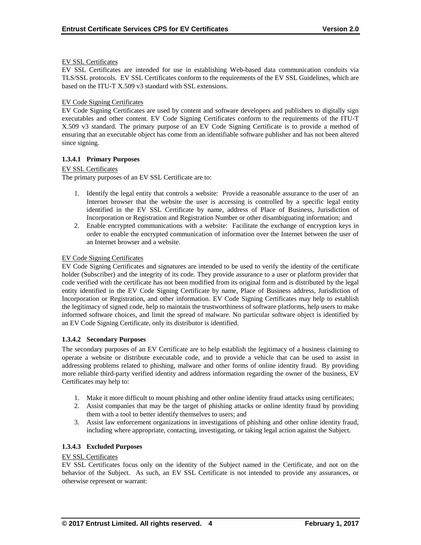#### EV SSL Certificates

EV SSL Certificates are intended for use in establishing Web-based data communication conduits via TLS/SSL protocols. EV SSL Certificates conform to the requirements of the EV SSL Guidelines, which are based on the ITU-T X.509 v3 standard with SSL extensions.

#### EV Code Signing Certificates

EV Code Signing Certificates are used by content and software developers and publishers to digitally sign executables and other content. EV Code Signing Certificates conform to the requirements of the ITU-T X.509 v3 standard. The primary purpose of an EV Code Signing Certificate is to provide a method of ensuring that an executable object has come from an identifiable software publisher and has not been altered since signing.

## **1.3.4.1 Primary Purposes**

#### EV SSL Certificates

The primary purposes of an EV SSL Certificate are to:

- 1. Identify the legal entity that controls a website: Provide a reasonable assurance to the user of an Internet browser that the website the user is accessing is controlled by a specific legal entity identified in the EV SSL Certificate by name, address of Place of Business, Jurisdiction of Incorporation or Registration and Registration Number or other disambiguating information; and
- 2. Enable encrypted communications with a website: Facilitate the exchange of encryption keys in order to enable the encrypted communication of information over the Internet between the user of an Internet browser and a website.

# EV Code Signing Certificates

EV Code Signing Certificates and signatures are intended to be used to verify the identity of the certificate holder (Subscriber) and the integrity of its code. They provide assurance to a user or platform provider that code verified with the certificate has not been modified from its original form and is distributed by the legal entity identified in the EV Code Signing Certificate by name, Place of Business address, Jurisdiction of Incorporation or Registration, and other information. EV Code Signing Certificates may help to establish the legitimacy of signed code, help to maintain the trustworthiness of software platforms, help users to make informed software choices, and limit the spread of malware. No particular software object is identified by an EV Code Signing Certificate, only its distributor is identified.

#### **1.3.4.2 Secondary Purposes**

The secondary purposes of an EV Certificate are to help establish the legitimacy of a business claiming to operate a website or distribute executable code, and to provide a vehicle that can be used to assist in addressing problems related to phishing, malware and other forms of online identity fraud. By providing more reliable third-party verified identity and address information regarding the owner of the business, EV Certificates may help to:

- 1. Make it more difficult to mount phishing and other online identity fraud attacks using certificates;
- 2. Assist companies that may be the target of phishing attacks or online identity fraud by providing them with a tool to better identify themselves to users; and
- 3. Assist law enforcement organizations in investigations of phishing and other online identity fraud, including where appropriate, contacting, investigating, or taking legal action against the Subject.

# **1.3.4.3 Excluded Purposes**

#### EV SSL Certificates

EV SSL Certificates focus only on the identity of the Subject named in the Certificate, and not on the behavior of the Subject. As such, an EV SSL Certificate is not intended to provide any assurances, or otherwise represent or warrant: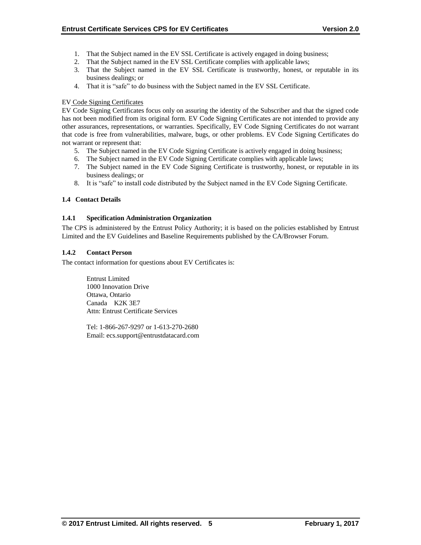- 1. That the Subject named in the EV SSL Certificate is actively engaged in doing business;
- 2. That the Subject named in the EV SSL Certificate complies with applicable laws;
- 3. That the Subject named in the EV SSL Certificate is trustworthy, honest, or reputable in its business dealings; or
- 4. That it is "safe" to do business with the Subject named in the EV SSL Certificate.

## EV Code Signing Certificates

EV Code Signing Certificates focus only on assuring the identity of the Subscriber and that the signed code has not been modified from its original form. EV Code Signing Certificates are not intended to provide any other assurances, representations, or warranties. Specifically, EV Code Signing Certificates do not warrant that code is free from vulnerabilities, malware, bugs, or other problems. EV Code Signing Certificates do not warrant or represent that:

- 5. The Subject named in the EV Code Signing Certificate is actively engaged in doing business;
- 6. The Subject named in the EV Code Signing Certificate complies with applicable laws;
- 7. The Subject named in the EV Code Signing Certificate is trustworthy, honest, or reputable in its business dealings; or
- 8. It is "safe" to install code distributed by the Subject named in the EV Code Signing Certificate.

# **1.4 Contact Details**

## **1.4.1 Specification Administration Organization**

The CPS is administered by the Entrust Policy Authority; it is based on the policies established by Entrust Limited and the EV Guidelines and Baseline Requirements published by the CA/Browser Forum.

## **1.4.2 Contact Person**

The contact information for questions about EV Certificates is:

Entrust Limited 1000 Innovation Drive Ottawa, Ontario Canada K2K 3E7 Attn: Entrust Certificate Services

Tel: 1-866-267-9297 or 1-613-270-2680 Email: ecs.support@entrustdatacard.com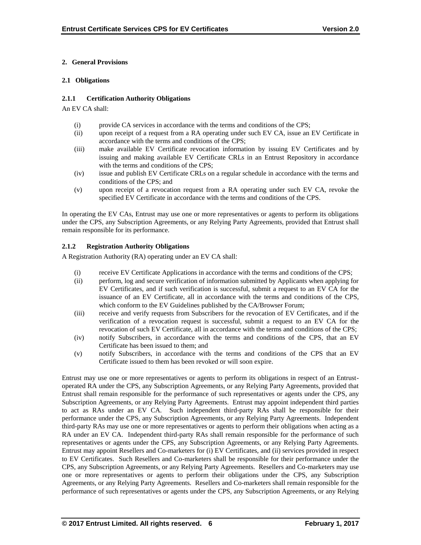# **2. General Provisions**

## **2.1 Obligations**

## **2.1.1 Certification Authority Obligations**

An EV CA shall:

- (i) provide CA services in accordance with the terms and conditions of the CPS;
- (ii) upon receipt of a request from a RA operating under such EV CA, issue an EV Certificate in accordance with the terms and conditions of the CPS;
- (iii) make available EV Certificate revocation information by issuing EV Certificates and by issuing and making available EV Certificate CRLs in an Entrust Repository in accordance with the terms and conditions of the CPS;
- (iv) issue and publish EV Certificate CRLs on a regular schedule in accordance with the terms and conditions of the CPS; and
- (v) upon receipt of a revocation request from a RA operating under such EV CA, revoke the specified EV Certificate in accordance with the terms and conditions of the CPS.

In operating the EV CAs, Entrust may use one or more representatives or agents to perform its obligations under the CPS, any Subscription Agreements, or any Relying Party Agreements, provided that Entrust shall remain responsible for its performance.

## **2.1.2 Registration Authority Obligations**

A Registration Authority (RA) operating under an EV CA shall:

- (i) receive EV Certificate Applications in accordance with the terms and conditions of the CPS;
- (ii) perform, log and secure verification of information submitted by Applicants when applying for EV Certificates, and if such verification is successful, submit a request to an EV CA for the issuance of an EV Certificate, all in accordance with the terms and conditions of the CPS, which conform to the EV Guidelines published by the CA/Browser Forum;
- (iii) receive and verify requests from Subscribers for the revocation of EV Certificates, and if the verification of a revocation request is successful, submit a request to an EV CA for the revocation of such EV Certificate, all in accordance with the terms and conditions of the CPS;
- (iv) notify Subscribers, in accordance with the terms and conditions of the CPS, that an EV Certificate has been issued to them; and
- (v) notify Subscribers, in accordance with the terms and conditions of the CPS that an EV Certificate issued to them has been revoked or will soon expire.

Entrust may use one or more representatives or agents to perform its obligations in respect of an Entrustoperated RA under the CPS, any Subscription Agreements, or any Relying Party Agreements, provided that Entrust shall remain responsible for the performance of such representatives or agents under the CPS, any Subscription Agreements, or any Relying Party Agreements. Entrust may appoint independent third parties to act as RAs under an EV CA. Such independent third-party RAs shall be responsible for their performance under the CPS, any Subscription Agreements, or any Relying Party Agreements. Independent third-party RAs may use one or more representatives or agents to perform their obligations when acting as a RA under an EV CA. Independent third-party RAs shall remain responsible for the performance of such representatives or agents under the CPS, any Subscription Agreements, or any Relying Party Agreements. Entrust may appoint Resellers and Co-marketers for (i) EV Certificates, and (ii) services provided in respect to EV Certificates. Such Resellers and Co-marketers shall be responsible for their performance under the CPS, any Subscription Agreements, or any Relying Party Agreements. Resellers and Co-marketers may use one or more representatives or agents to perform their obligations under the CPS, any Subscription Agreements, or any Relying Party Agreements. Resellers and Co-marketers shall remain responsible for the performance of such representatives or agents under the CPS, any Subscription Agreements, or any Relying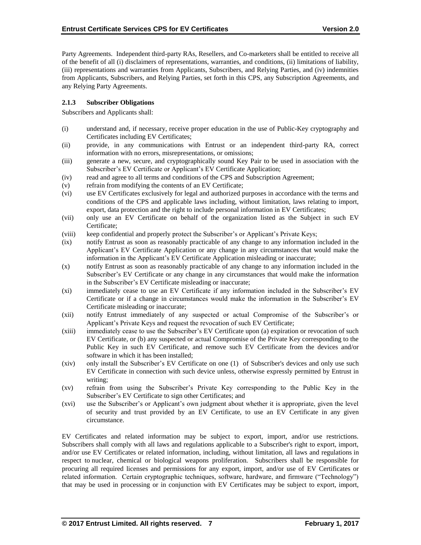Party Agreements. Independent third-party RAs, Resellers, and Co-marketers shall be entitled to receive all of the benefit of all (i) disclaimers of representations, warranties, and conditions, (ii) limitations of liability, (iii) representations and warranties from Applicants, Subscribers, and Relying Parties, and (iv) indemnities from Applicants, Subscribers, and Relying Parties, set forth in this CPS, any Subscription Agreements, and any Relying Party Agreements.

# **2.1.3 Subscriber Obligations**

Subscribers and Applicants shall:

- (i) understand and, if necessary, receive proper education in the use of Public-Key cryptography and Certificates including EV Certificates;
- (ii) provide, in any communications with Entrust or an independent third-party RA, correct information with no errors, misrepresentations, or omissions;
- (iii) generate a new, secure, and cryptographically sound Key Pair to be used in association with the Subscriber's EV Certificate or Applicant's EV Certificate Application;
- (iv) read and agree to all terms and conditions of the CPS and Subscription Agreement;
- (v) refrain from modifying the contents of an EV Certificate;
- (vi) use EV Certificates exclusively for legal and authorized purposes in accordance with the terms and conditions of the CPS and applicable laws including, without limitation, laws relating to import, export, data protection and the right to include personal information in EV Certificates;
- (vii) only use an EV Certificate on behalf of the organization listed as the Subject in such EV Certificate;
- (viii) keep confidential and properly protect the Subscriber's or Applicant's Private Keys;
- (ix) notify Entrust as soon as reasonably practicable of any change to any information included in the Applicant's EV Certificate Application or any change in any circumstances that would make the information in the Applicant's EV Certificate Application misleading or inaccurate;
- (x) notify Entrust as soon as reasonably practicable of any change to any information included in the Subscriber's EV Certificate or any change in any circumstances that would make the information in the Subscriber's EV Certificate misleading or inaccurate;
- (xi) immediately cease to use an EV Certificate if any information included in the Subscriber's EV Certificate or if a change in circumstances would make the information in the Subscriber's EV Certificate misleading or inaccurate;
- (xii) notify Entrust immediately of any suspected or actual Compromise of the Subscriber's or Applicant's Private Keys and request the revocation of such EV Certificate;
- (xiii) immediately cease to use the Subscriber's EV Certificate upon (a) expiration or revocation of such EV Certificate, or (b) any suspected or actual Compromise of the Private Key corresponding to the Public Key in such EV Certificate, and remove such EV Certificate from the devices and/or software in which it has been installed;
- (xiv) only install the Subscriber's EV Certificate on one (1) of Subscriber's devices and only use such EV Certificate in connection with such device unless, otherwise expressly permitted by Entrust in writing;
- (xv) refrain from using the Subscriber's Private Key corresponding to the Public Key in the Subscriber's EV Certificate to sign other Certificates; and
- (xvi) use the Subscriber's or Applicant's own judgment about whether it is appropriate, given the level of security and trust provided by an EV Certificate, to use an EV Certificate in any given circumstance.

EV Certificates and related information may be subject to export, import, and/or use restrictions. Subscribers shall comply with all laws and regulations applicable to a Subscriber's right to export, import, and/or use EV Certificates or related information, including, without limitation, all laws and regulations in respect to nuclear, chemical or biological weapons proliferation. Subscribers shall be responsible for procuring all required licenses and permissions for any export, import, and/or use of EV Certificates or related information. Certain cryptographic techniques, software, hardware, and firmware ("Technology") that may be used in processing or in conjunction with EV Certificates may be subject to export, import,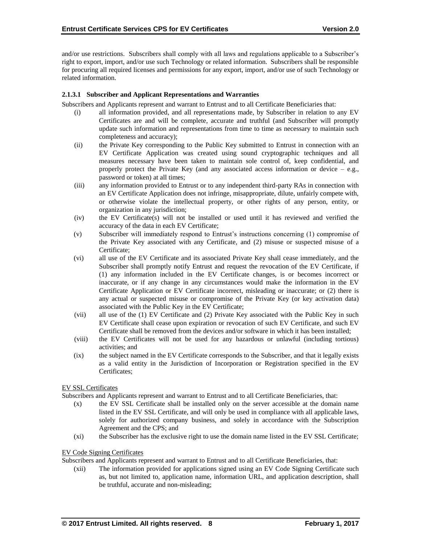and/or use restrictions. Subscribers shall comply with all laws and regulations applicable to a Subscriber's right to export, import, and/or use such Technology or related information. Subscribers shall be responsible for procuring all required licenses and permissions for any export, import, and/or use of such Technology or related information.

# **2.1.3.1 Subscriber and Applicant Representations and Warranties**

Subscribers and Applicants represent and warrant to Entrust and to all Certificate Beneficiaries that:

- (i) all information provided, and all representations made, by Subscriber in relation to any EV Certificates are and will be complete, accurate and truthful (and Subscriber will promptly update such information and representations from time to time as necessary to maintain such completeness and accuracy);
- (ii) the Private Key corresponding to the Public Key submitted to Entrust in connection with an EV Certificate Application was created using sound cryptographic techniques and all measures necessary have been taken to maintain sole control of, keep confidential, and properly protect the Private Key (and any associated access information or device  $-$  e.g., password or token) at all times;
- (iii) any information provided to Entrust or to any independent third-party RAs in connection with an EV Certificate Application does not infringe, misappropriate, dilute, unfairly compete with, or otherwise violate the intellectual property, or other rights of any person, entity, or organization in any jurisdiction;
- (iv) the EV Certificate(s) will not be installed or used until it has reviewed and verified the accuracy of the data in each EV Certificate;
- (v) Subscriber will immediately respond to Entrust's instructions concerning (1) compromise of the Private Key associated with any Certificate, and (2) misuse or suspected misuse of a Certificate;
- (vi) all use of the EV Certificate and its associated Private Key shall cease immediately, and the Subscriber shall promptly notify Entrust and request the revocation of the EV Certificate, if (1) any information included in the EV Certificate changes, is or becomes incorrect or inaccurate, or if any change in any circumstances would make the information in the EV Certificate Application or EV Certificate incorrect, misleading or inaccurate; or (2) there is any actual or suspected misuse or compromise of the Private Key (or key activation data) associated with the Public Key in the EV Certificate;
- (vii) all use of the (1) EV Certificate and (2) Private Key associated with the Public Key in such EV Certificate shall cease upon expiration or revocation of such EV Certificate, and such EV Certificate shall be removed from the devices and/or software in which it has been installed;
- (viii) the EV Certificates will not be used for any hazardous or unlawful (including tortious) activities; and
- (ix) the subject named in the EV Certificate corresponds to the Subscriber, and that it legally exists as a valid entity in the Jurisdiction of Incorporation or Registration specified in the EV Certificates;

#### EV SSL Certificates

Subscribers and Applicants represent and warrant to Entrust and to all Certificate Beneficiaries, that:

- (x) the EV SSL Certificate shall be installed only on the server accessible at the domain name listed in the EV SSL Certificate, and will only be used in compliance with all applicable laws, solely for authorized company business, and solely in accordance with the Subscription Agreement and the CPS; and
- (xi) the Subscriber has the exclusive right to use the domain name listed in the EV SSL Certificate;

#### EV Code Signing Certificates

Subscribers and Applicants represent and warrant to Entrust and to all Certificate Beneficiaries, that:

(xii) The information provided for applications signed using an EV Code Signing Certificate such as, but not limited to, application name, information URL, and application description, shall be truthful, accurate and non-misleading;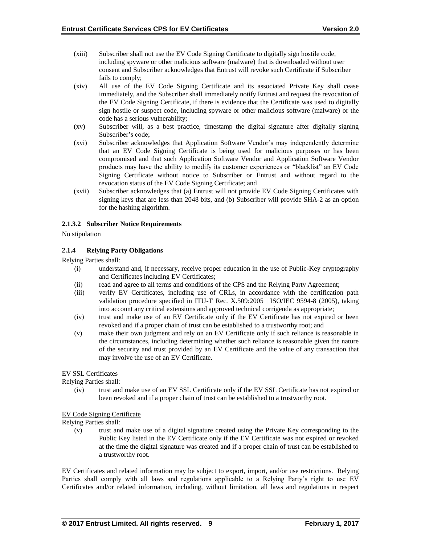- (xiii) Subscriber shall not use the EV Code Signing Certificate to digitally sign hostile code, including spyware or other malicious software (malware) that is downloaded without user consent and Subscriber acknowledges that Entrust will revoke such Certificate if Subscriber fails to comply;
- (xiv) All use of the EV Code Signing Certificate and its associated Private Key shall cease immediately, and the Subscriber shall immediately notify Entrust and request the revocation of the EV Code Signing Certificate, if there is evidence that the Certificate was used to digitally sign hostile or suspect code, including spyware or other malicious software (malware) or the code has a serious vulnerability;
- (xv) Subscriber will, as a best practice, timestamp the digital signature after digitally signing Subscriber's code;
- (xvi) Subscriber acknowledges that Application Software Vendor's may independently determine that an EV Code Signing Certificate is being used for malicious purposes or has been compromised and that such Application Software Vendor and Application Software Vendor products may have the ability to modify its customer experiences or "blacklist" an EV Code Signing Certificate without notice to Subscriber or Entrust and without regard to the revocation status of the EV Code Signing Certificate; and
- (xvii) Subscriber acknowledges that (a) Entrust will not provide EV Code Signing Certificates with signing keys that are less than 2048 bits, and (b) Subscriber will provide SHA-2 as an option for the hashing algorithm.

## **2.1.3.2 Subscriber Notice Requirements**

No stipulation

## **2.1.4 Relying Party Obligations**

Relying Parties shall:

- (i) understand and, if necessary, receive proper education in the use of Public-Key cryptography and Certificates including EV Certificates;
- (ii) read and agree to all terms and conditions of the CPS and the Relying Party Agreement;
- (iii) verify EV Certificates, including use of CRLs, in accordance with the certification path validation procedure specified in ITU-T Rec. X.509:2005 | ISO/IEC 9594-8 (2005), taking into account any critical extensions and approved technical corrigenda as appropriate;
- (iv) trust and make use of an EV Certificate only if the EV Certificate has not expired or been revoked and if a proper chain of trust can be established to a trustworthy root; and
- (v) make their own judgment and rely on an EV Certificate only if such reliance is reasonable in the circumstances, including determining whether such reliance is reasonable given the nature of the security and trust provided by an EV Certificate and the value of any transaction that may involve the use of an EV Certificate.

#### EV SSL Certificates

Relying Parties shall:

(iv) trust and make use of an EV SSL Certificate only if the EV SSL Certificate has not expired or been revoked and if a proper chain of trust can be established to a trustworthy root.

#### EV Code Signing Certificate

Relying Parties shall:

(v) trust and make use of a digital signature created using the Private Key corresponding to the Public Key listed in the EV Certificate only if the EV Certificate was not expired or revoked at the time the digital signature was created and if a proper chain of trust can be established to a trustworthy root.

EV Certificates and related information may be subject to export, import, and/or use restrictions. Relying Parties shall comply with all laws and regulations applicable to a Relying Party's right to use EV Certificates and/or related information, including, without limitation, all laws and regulations in respect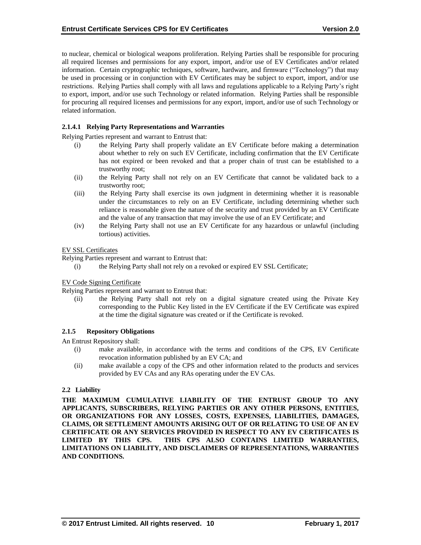to nuclear, chemical or biological weapons proliferation. Relying Parties shall be responsible for procuring all required licenses and permissions for any export, import, and/or use of EV Certificates and/or related information. Certain cryptographic techniques, software, hardware, and firmware ("Technology") that may be used in processing or in conjunction with EV Certificates may be subject to export, import, and/or use restrictions. Relying Parties shall comply with all laws and regulations applicable to a Relying Party's right to export, import, and/or use such Technology or related information. Relying Parties shall be responsible for procuring all required licenses and permissions for any export, import, and/or use of such Technology or related information.

# **2.1.4.1 Relying Party Representations and Warranties**

Relying Parties represent and warrant to Entrust that:

- (i) the Relying Party shall properly validate an EV Certificate before making a determination about whether to rely on such EV Certificate, including confirmation that the EV Certificate has not expired or been revoked and that a proper chain of trust can be established to a trustworthy root;
- (ii) the Relying Party shall not rely on an EV Certificate that cannot be validated back to a trustworthy root;
- (iii) the Relying Party shall exercise its own judgment in determining whether it is reasonable under the circumstances to rely on an EV Certificate, including determining whether such reliance is reasonable given the nature of the security and trust provided by an EV Certificate and the value of any transaction that may involve the use of an EV Certificate; and
- (iv) the Relying Party shall not use an EV Certificate for any hazardous or unlawful (including tortious) activities.

#### EV SSL Certificates

Relying Parties represent and warrant to Entrust that:

(i) the Relying Party shall not rely on a revoked or expired EV SSL Certificate;

#### EV Code Signing Certificate

Relying Parties represent and warrant to Entrust that:

(ii) the Relying Party shall not rely on a digital signature created using the Private Key corresponding to the Public Key listed in the EV Certificate if the EV Certificate was expired at the time the digital signature was created or if the Certificate is revoked.

#### **2.1.5 Repository Obligations**

An Entrust Repository shall:

- (i) make available, in accordance with the terms and conditions of the CPS, EV Certificate revocation information published by an EV CA; and
- (ii) make available a copy of the CPS and other information related to the products and services provided by EV CAs and any RAs operating under the EV CAs.

#### **2.2 Liability**

**THE MAXIMUM CUMULATIVE LIABILITY OF THE ENTRUST GROUP TO ANY APPLICANTS, SUBSCRIBERS, RELYING PARTIES OR ANY OTHER PERSONS, ENTITIES, OR ORGANIZATIONS FOR ANY LOSSES, COSTS, EXPENSES, LIABILITIES, DAMAGES, CLAIMS, OR SETTLEMENT AMOUNTS ARISING OUT OF OR RELATING TO USE OF AN EV CERTIFICATE OR ANY SERVICES PROVIDED IN RESPECT TO ANY EV CERTIFICATES IS LIMITED BY THIS CPS. THIS CPS ALSO CONTAINS LIMITED WARRANTIES, LIMITATIONS ON LIABILITY, AND DISCLAIMERS OF REPRESENTATIONS, WARRANTIES AND CONDITIONS.**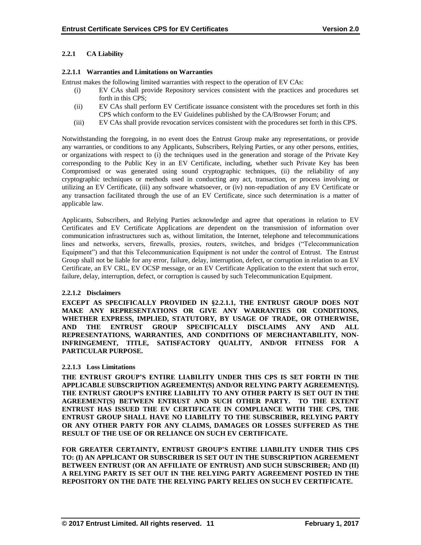## **2.2.1 CA Liability**

#### **2.2.1.1 Warranties and Limitations on Warranties**

Entrust makes the following limited warranties with respect to the operation of EV CAs:

- (i) EV CAs shall provide Repository services consistent with the practices and procedures set forth in this CPS;
- (ii) EV CAs shall perform EV Certificate issuance consistent with the procedures set forth in this CPS which conform to the EV Guidelines published by the CA/Browser Forum; and
- (iii) EV CAs shall provide revocation services consistent with the procedures set forth in this CPS.

Notwithstanding the foregoing, in no event does the Entrust Group make any representations, or provide any warranties, or conditions to any Applicants, Subscribers, Relying Parties, or any other persons, entities, or organizations with respect to (i) the techniques used in the generation and storage of the Private Key corresponding to the Public Key in an EV Certificate, including, whether such Private Key has been Compromised or was generated using sound cryptographic techniques, (ii) the reliability of any cryptographic techniques or methods used in conducting any act, transaction, or process involving or utilizing an EV Certificate, (iii) any software whatsoever, or (iv) non-repudiation of any EV Certificate or any transaction facilitated through the use of an EV Certificate, since such determination is a matter of applicable law.

Applicants, Subscribers, and Relying Parties acknowledge and agree that operations in relation to EV Certificates and EV Certificate Applications are dependent on the transmission of information over communication infrastructures such as, without limitation, the Internet, telephone and telecommunications lines and networks, servers, firewalls, proxies, routers, switches, and bridges ("Telecommunication Equipment") and that this Telecommunication Equipment is not under the control of Entrust. The Entrust Group shall not be liable for any error, failure, delay, interruption, defect, or corruption in relation to an EV Certificate, an EV CRL, EV OCSP message, or an EV Certificate Application to the extent that such error, failure, delay, interruption, defect, or corruption is caused by such Telecommunication Equipment.

#### **2.2.1.2 Disclaimers**

**EXCEPT AS SPECIFICALLY PROVIDED IN §2.2.1.1, THE ENTRUST GROUP DOES NOT MAKE ANY REPRESENTATIONS OR GIVE ANY WARRANTIES OR CONDITIONS, WHETHER EXPRESS, IMPLIED, STATUTORY, BY USAGE OF TRADE, OR OTHERWISE, AND THE ENTRUST GROUP SPECIFICALLY DISCLAIMS ANY AND ALL REPRESENTATIONS, WARRANTIES, AND CONDITIONS OF MERCHANTABILITY, NON-INFRINGEMENT, TITLE, SATISFACTORY QUALITY, AND/OR FITNESS FOR A PARTICULAR PURPOSE.**

#### **2.2.1.3 Loss Limitations**

**THE ENTRUST GROUP'S ENTIRE LIABILITY UNDER THIS CPS IS SET FORTH IN THE APPLICABLE SUBSCRIPTION AGREEMENT(S) AND/OR RELYING PARTY AGREEMENT(S). THE ENTRUST GROUP'S ENTIRE LIABILITY TO ANY OTHER PARTY IS SET OUT IN THE AGREEMENT(S) BETWEEN ENTRUST AND SUCH OTHER PARTY. TO THE EXTENT ENTRUST HAS ISSUED THE EV CERTIFICATE IN COMPLIANCE WITH THE CPS, THE ENTRUST GROUP SHALL HAVE NO LIABILITY TO THE SUBSCRIBER, RELYING PARTY OR ANY OTHER PARTY FOR ANY CLAIMS, DAMAGES OR LOSSES SUFFERED AS THE RESULT OF THE USE OF OR RELIANCE ON SUCH EV CERTIFICATE.**

**FOR GREATER CERTAINTY, ENTRUST GROUP'S ENTIRE LIABILITY UNDER THIS CPS TO: (I) AN APPLICANT OR SUBSCRIBER IS SET OUT IN THE SUBSCRIPTION AGREEMENT BETWEEN ENTRUST (OR AN AFFILIATE OF ENTRUST) AND SUCH SUBSCRIBER; AND (II) A RELYING PARTY IS SET OUT IN THE RELYING PARTY AGREEMENT POSTED IN THE REPOSITORY ON THE DATE THE RELYING PARTY RELIES ON SUCH EV CERTIFICATE.**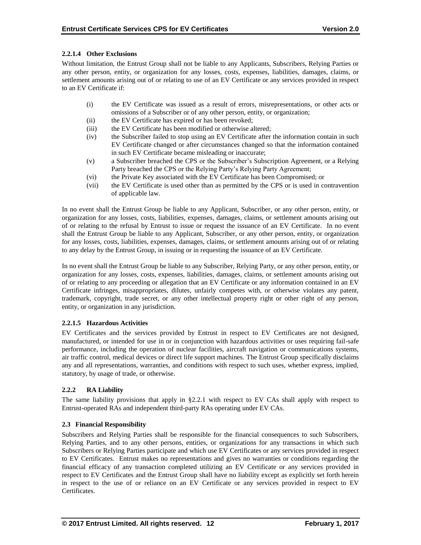# **2.2.1.4 Other Exclusions**

Without limitation, the Entrust Group shall not be liable to any Applicants, Subscribers, Relying Parties or any other person, entity, or organization for any losses, costs, expenses, liabilities, damages, claims, or settlement amounts arising out of or relating to use of an EV Certificate or any services provided in respect to an EV Certificate if:

- (i) the EV Certificate was issued as a result of errors, misrepresentations, or other acts or omissions of a Subscriber or of any other person, entity, or organization;
- (ii) the EV Certificate has expired or has been revoked;
- (iii) the EV Certificate has been modified or otherwise altered;
- (iv) the Subscriber failed to stop using an EV Certificate after the information contain in such EV Certificate changed or after circumstances changed so that the information contained in such EV Certificate became misleading or inaccurate;
- (v) a Subscriber breached the CPS or the Subscriber's Subscription Agreement, or a Relying Party breached the CPS or the Relying Party's Relying Party Agreement;
- (vi) the Private Key associated with the EV Certificate has been Compromised; or
- (vii) the EV Certificate is used other than as permitted by the CPS or is used in contravention of applicable law.

In no event shall the Entrust Group be liable to any Applicant, Subscriber, or any other person, entity, or organization for any losses, costs, liabilities, expenses, damages, claims, or settlement amounts arising out of or relating to the refusal by Entrust to issue or request the issuance of an EV Certificate. In no event shall the Entrust Group be liable to any Applicant, Subscriber, or any other person, entity, or organization for any losses, costs, liabilities, expenses, damages, claims, or settlement amounts arising out of or relating to any delay by the Entrust Group, in issuing or in requesting the issuance of an EV Certificate.

In no event shall the Entrust Group be liable to any Subscriber, Relying Party, or any other person, entity, or organization for any losses, costs, expenses, liabilities, damages, claims, or settlement amounts arising out of or relating to any proceeding or allegation that an EV Certificate or any information contained in an EV Certificate infringes, misappropriates, dilutes, unfairly competes with, or otherwise violates any patent, trademark, copyright, trade secret, or any other intellectual property right or other right of any person, entity, or organization in any jurisdiction.

# **2.2.1.5 Hazardous Activities**

EV Certificates and the services provided by Entrust in respect to EV Certificates are not designed, manufactured, or intended for use in or in conjunction with hazardous activities or uses requiring fail-safe performance, including the operation of nuclear facilities, aircraft navigation or communications systems, air traffic control, medical devices or direct life support machines. The Entrust Group specifically disclaims any and all representations, warranties, and conditions with respect to such uses, whether express, implied, statutory, by usage of trade, or otherwise.

# **2.2.2 RA Liability**

The same liability provisions that apply in §2.2.1 with respect to EV CAs shall apply with respect to Entrust-operated RAs and independent third-party RAs operating under EV CAs.

# **2.3 Financial Responsibility**

Subscribers and Relying Parties shall be responsible for the financial consequences to such Subscribers, Relying Parties, and to any other persons, entities, or organizations for any transactions in which such Subscribers or Relying Parties participate and which use EV Certificates or any services provided in respect to EV Certificates. Entrust makes no representations and gives no warranties or conditions regarding the financial efficacy of any transaction completed utilizing an EV Certificate or any services provided in respect to EV Certificates and the Entrust Group shall have no liability except as explicitly set forth herein in respect to the use of or reliance on an EV Certificate or any services provided in respect to EV Certificates.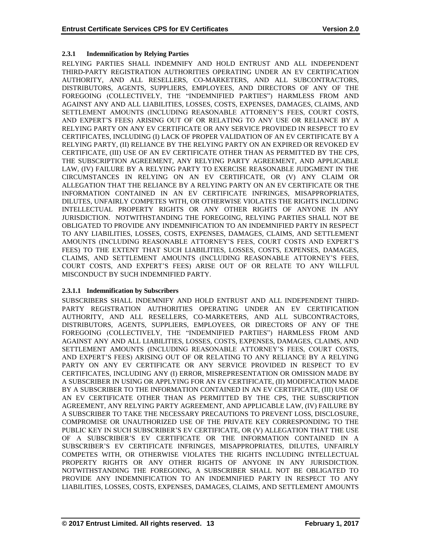# **2.3.1 Indemnification by Relying Parties**

RELYING PARTIES SHALL INDEMNIFY AND HOLD ENTRUST AND ALL INDEPENDENT THIRD-PARTY REGISTRATION AUTHORITIES OPERATING UNDER AN EV CERTIFICATION AUTHORITY, AND ALL RESELLERS, CO-MARKETERS, AND ALL SUBCONTRACTORS, DISTRIBUTORS, AGENTS, SUPPLIERS, EMPLOYEES, AND DIRECTORS OF ANY OF THE FOREGOING (COLLECTIVELY, THE "INDEMNIFIED PARTIES") HARMLESS FROM AND AGAINST ANY AND ALL LIABILITIES, LOSSES, COSTS, EXPENSES, DAMAGES, CLAIMS, AND SETTLEMENT AMOUNTS (INCLUDING REASONABLE ATTORNEY'S FEES, COURT COSTS, AND EXPERT'S FEES) ARISING OUT OF OR RELATING TO ANY USE OR RELIANCE BY A RELYING PARTY ON ANY EV CERTIFICATE OR ANY SERVICE PROVIDED IN RESPECT TO EV CERTIFICATES, INCLUDING (I) LACK OF PROPER VALIDATION OF AN EV CERTIFICATE BY A RELYING PARTY, (II) RELIANCE BY THE RELYING PARTY ON AN EXPIRED OR REVOKED EV CERTIFICATE, (III) USE OF AN EV CERTIFICATE OTHER THAN AS PERMITTED BY THE CPS, THE SUBSCRIPTION AGREEMENT, ANY RELYING PARTY AGREEMENT, AND APPLICABLE LAW, (IV) FAILURE BY A RELYING PARTY TO EXERCISE REASONABLE JUDGMENT IN THE CIRCUMSTANCES IN RELYING ON AN EV CERTIFICATE, OR (V) ANY CLAIM OR ALLEGATION THAT THE RELIANCE BY A RELYING PARTY ON AN EV CERTIFICATE OR THE INFORMATION CONTAINED IN AN EV CERTIFICATE INFRINGES, MISAPPROPRIATES, DILUTES, UNFAIRLY COMPETES WITH, OR OTHERWISE VIOLATES THE RIGHTS INCLUDING INTELLECTUAL PROPERTY RIGHTS OR ANY OTHER RIGHTS OF ANYONE IN ANY JURISDICTION. NOTWITHSTANDING THE FOREGOING, RELYING PARTIES SHALL NOT BE OBLIGATED TO PROVIDE ANY INDEMNIFICATION TO AN INDEMNIFIED PARTY IN RESPECT TO ANY LIABILITIES, LOSSES, COSTS, EXPENSES, DAMAGES, CLAIMS, AND SETTLEMENT AMOUNTS (INCLUDING REASONABLE ATTORNEY'S FEES, COURT COSTS AND EXPERT'S FEES) TO THE EXTENT THAT SUCH LIABILITIES, LOSSES, COSTS, EXPENSES, DAMAGES, CLAIMS, AND SETTLEMENT AMOUNTS (INCLUDING REASONABLE ATTORNEY'S FEES, COURT COSTS, AND EXPERT'S FEES) ARISE OUT OF OR RELATE TO ANY WILLFUL MISCONDUCT BY SUCH INDEMNIFIED PARTY.

# **2.3.1.1 Indemnification by Subscribers**

SUBSCRIBERS SHALL INDEMNIFY AND HOLD ENTRUST AND ALL INDEPENDENT THIRD-PARTY REGISTRATION AUTHORITIES OPERATING UNDER AN EV CERTIFICATION AUTHORITY, AND ALL RESELLERS, CO-MARKETERS, AND ALL SUBCONTRACTORS, DISTRIBUTORS, AGENTS, SUPPLIERS, EMPLOYEES, OR DIRECTORS OF ANY OF THE FOREGOING (COLLECTIVELY, THE "INDEMNIFIED PARTIES") HARMLESS FROM AND AGAINST ANY AND ALL LIABILITIES, LOSSES, COSTS, EXPENSES, DAMAGES, CLAIMS, AND SETTLEMENT AMOUNTS (INCLUDING REASONABLE ATTORNEY'S FEES, COURT COSTS, AND EXPERT'S FEES) ARISING OUT OF OR RELATING TO ANY RELIANCE BY A RELYING PARTY ON ANY EV CERTIFICATE OR ANY SERVICE PROVIDED IN RESPECT TO EV CERTIFICATES, INCLUDING ANY (I) ERROR, MISREPRESENTATION OR OMISSION MADE BY A SUBSCRIBER IN USING OR APPLYING FOR AN EV CERTIFICATE, (II) MODIFICATION MADE BY A SUBSCRIBER TO THE INFORMATION CONTAINED IN AN EV CERTIFICATE, (III) USE OF AN EV CERTIFICATE OTHER THAN AS PERMITTED BY THE CPS, THE SUBSCRIPTION AGREEMENT, ANY RELYING PARTY AGREEMENT, AND APPLICABLE LAW, (IV) FAILURE BY A SUBSCRIBER TO TAKE THE NECESSARY PRECAUTIONS TO PREVENT LOSS, DISCLOSURE, COMPROMISE OR UNAUTHORIZED USE OF THE PRIVATE KEY CORRESPONDING TO THE PUBLIC KEY IN SUCH SUBSCRIBER'S EV CERTIFICATE, OR (V) ALLEGATION THAT THE USE OF A SUBSCRIBER'S EV CERTIFICATE OR THE INFORMATION CONTAINED IN A SUBSCRIBER'S EV CERTIFICATE INFRINGES, MISAPPROPRIATES, DILUTES, UNFAIRLY COMPETES WITH, OR OTHERWISE VIOLATES THE RIGHTS INCLUDING INTELLECTUAL PROPERTY RIGHTS OR ANY OTHER RIGHTS OF ANYONE IN ANY JURISDICTION. NOTWITHSTANDING THE FOREGOING, A SUBSCRIBER SHALL NOT BE OBLIGATED TO PROVIDE ANY INDEMNIFICATION TO AN INDEMNIFIED PARTY IN RESPECT TO ANY LIABILITIES, LOSSES, COSTS, EXPENSES, DAMAGES, CLAIMS, AND SETTLEMENT AMOUNTS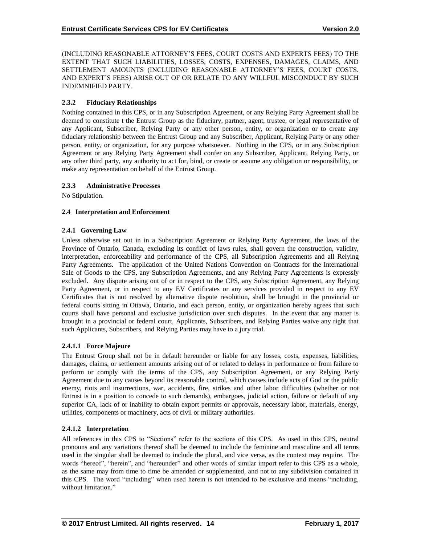(INCLUDING REASONABLE ATTORNEY'S FEES, COURT COSTS AND EXPERTS FEES) TO THE EXTENT THAT SUCH LIABILITIES, LOSSES, COSTS, EXPENSES, DAMAGES, CLAIMS, AND SETTLEMENT AMOUNTS (INCLUDING REASONABLE ATTORNEY'S FEES, COURT COSTS, AND EXPERT'S FEES) ARISE OUT OF OR RELATE TO ANY WILLFUL MISCONDUCT BY SUCH INDEMNIFIED PARTY.

# **2.3.2 Fiduciary Relationships**

Nothing contained in this CPS, or in any Subscription Agreement, or any Relying Party Agreement shall be deemed to constitute t the Entrust Group as the fiduciary, partner, agent, trustee, or legal representative of any Applicant, Subscriber, Relying Party or any other person, entity, or organization or to create any fiduciary relationship between the Entrust Group and any Subscriber, Applicant, Relying Party or any other person, entity, or organization, for any purpose whatsoever. Nothing in the CPS, or in any Subscription Agreement or any Relying Party Agreement shall confer on any Subscriber, Applicant, Relying Party, or any other third party, any authority to act for, bind, or create or assume any obligation or responsibility, or make any representation on behalf of the Entrust Group.

# **2.3.3 Administrative Processes**

No Stipulation.

# **2.4 Interpretation and Enforcement**

## **2.4.1 Governing Law**

Unless otherwise set out in in a Subscription Agreement or Relying Party Agreement, the laws of the Province of Ontario, Canada, excluding its conflict of laws rules, shall govern the construction, validity, interpretation, enforceability and performance of the CPS, all Subscription Agreements and all Relying Party Agreements. The application of the United Nations Convention on Contracts for the International Sale of Goods to the CPS, any Subscription Agreements, and any Relying Party Agreements is expressly excluded. Any dispute arising out of or in respect to the CPS, any Subscription Agreement, any Relying Party Agreement, or in respect to any EV Certificates or any services provided in respect to any EV Certificates that is not resolved by alternative dispute resolution, shall be brought in the provincial or federal courts sitting in Ottawa, Ontario, and each person, entity, or organization hereby agrees that such courts shall have personal and exclusive jurisdiction over such disputes. In the event that any matter is brought in a provincial or federal court, Applicants, Subscribers, and Relying Parties waive any right that such Applicants, Subscribers, and Relying Parties may have to a jury trial.

# **2.4.1.1 Force Majeure**

The Entrust Group shall not be in default hereunder or liable for any losses, costs, expenses, liabilities, damages, claims, or settlement amounts arising out of or related to delays in performance or from failure to perform or comply with the terms of the CPS, any Subscription Agreement, or any Relying Party Agreement due to any causes beyond its reasonable control, which causes include acts of God or the public enemy, riots and insurrections, war, accidents, fire, strikes and other labor difficulties (whether or not Entrust is in a position to concede to such demands), embargoes, judicial action, failure or default of any superior CA, lack of or inability to obtain export permits or approvals, necessary labor, materials, energy, utilities, components or machinery, acts of civil or military authorities.

# **2.4.1.2 Interpretation**

All references in this CPS to "Sections" refer to the sections of this CPS. As used in this CPS, neutral pronouns and any variations thereof shall be deemed to include the feminine and masculine and all terms used in the singular shall be deemed to include the plural, and vice versa, as the context may require. The words "hereof", "herein", and "hereunder" and other words of similar import refer to this CPS as a whole, as the same may from time to time be amended or supplemented, and not to any subdivision contained in this CPS. The word "including" when used herein is not intended to be exclusive and means "including, without limitation."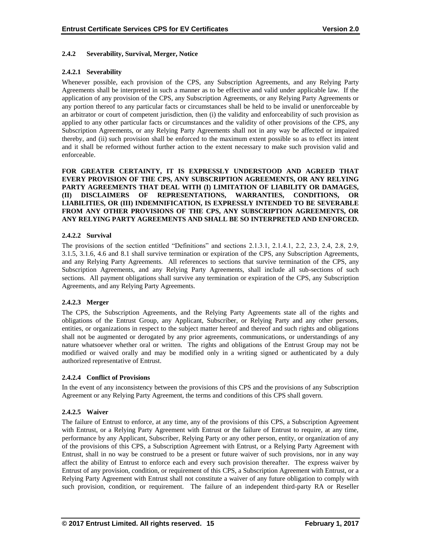#### **2.4.2 Severability, Survival, Merger, Notice**

#### **2.4.2.1 Severability**

Whenever possible, each provision of the CPS, any Subscription Agreements, and any Relying Party Agreements shall be interpreted in such a manner as to be effective and valid under applicable law. If the application of any provision of the CPS, any Subscription Agreements, or any Relying Party Agreements or any portion thereof to any particular facts or circumstances shall be held to be invalid or unenforceable by an arbitrator or court of competent jurisdiction, then (i) the validity and enforceability of such provision as applied to any other particular facts or circumstances and the validity of other provisions of the CPS, any Subscription Agreements, or any Relying Party Agreements shall not in any way be affected or impaired thereby, and (ii) such provision shall be enforced to the maximum extent possible so as to effect its intent and it shall be reformed without further action to the extent necessary to make such provision valid and enforceable.

**FOR GREATER CERTAINTY, IT IS EXPRESSLY UNDERSTOOD AND AGREED THAT EVERY PROVISION OF THE CPS, ANY SUBSCRIPTION AGREEMENTS, OR ANY RELYING PARTY AGREEMENTS THAT DEAL WITH (I) LIMITATION OF LIABILITY OR DAMAGES, (II) DISCLAIMERS OF REPRESENTATIONS, WARRANTIES, CONDITIONS, OR LIABILITIES, OR (III) INDEMNIFICATION, IS EXPRESSLY INTENDED TO BE SEVERABLE FROM ANY OTHER PROVISIONS OF THE CPS, ANY SUBSCRIPTION AGREEMENTS, OR ANY RELYING PARTY AGREEMENTS AND SHALL BE SO INTERPRETED AND ENFORCED.**

#### **2.4.2.2 Survival**

The provisions of the section entitled "Definitions" and sections 2.1.3.1, 2.1.4.1, 2.2, 2.3, 2.4, 2.8, 2.9, 3.1.5, 3.1.6, 4.6 and 8.1 shall survive termination or expiration of the CPS, any Subscription Agreements, and any Relying Party Agreements. All references to sections that survive termination of the CPS, any Subscription Agreements, and any Relying Party Agreements, shall include all sub-sections of such sections. All payment obligations shall survive any termination or expiration of the CPS, any Subscription Agreements, and any Relying Party Agreements.

#### **2.4.2.3 Merger**

The CPS, the Subscription Agreements, and the Relying Party Agreements state all of the rights and obligations of the Entrust Group, any Applicant, Subscriber, or Relying Party and any other persons, entities, or organizations in respect to the subject matter hereof and thereof and such rights and obligations shall not be augmented or derogated by any prior agreements, communications, or understandings of any nature whatsoever whether oral or written. The rights and obligations of the Entrust Group may not be modified or waived orally and may be modified only in a writing signed or authenticated by a duly authorized representative of Entrust.

#### **2.4.2.4 Conflict of Provisions**

In the event of any inconsistency between the provisions of this CPS and the provisions of any Subscription Agreement or any Relying Party Agreement, the terms and conditions of this CPS shall govern.

#### **2.4.2.5 Waiver**

The failure of Entrust to enforce, at any time, any of the provisions of this CPS, a Subscription Agreement with Entrust, or a Relying Party Agreement with Entrust or the failure of Entrust to require, at any time, performance by any Applicant, Subscriber, Relying Party or any other person, entity, or organization of any of the provisions of this CPS, a Subscription Agreement with Entrust, or a Relying Party Agreement with Entrust, shall in no way be construed to be a present or future waiver of such provisions, nor in any way affect the ability of Entrust to enforce each and every such provision thereafter. The express waiver by Entrust of any provision, condition, or requirement of this CPS, a Subscription Agreement with Entrust, or a Relying Party Agreement with Entrust shall not constitute a waiver of any future obligation to comply with such provision, condition, or requirement. The failure of an independent third-party RA or Reseller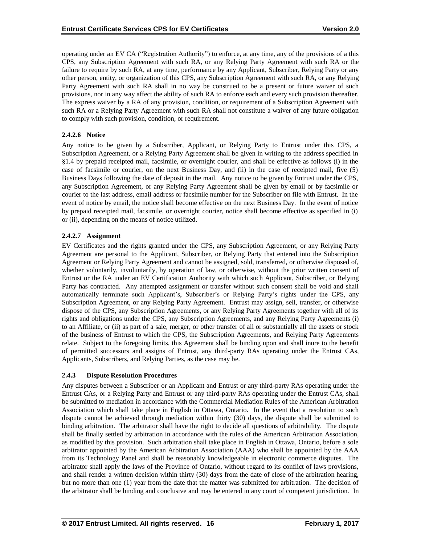operating under an EV CA ("Registration Authority") to enforce, at any time, any of the provisions of a this CPS, any Subscription Agreement with such RA, or any Relying Party Agreement with such RA or the failure to require by such RA, at any time, performance by any Applicant, Subscriber, Relying Party or any other person, entity, or organization of this CPS, any Subscription Agreement with such RA, or any Relying Party Agreement with such RA shall in no way be construed to be a present or future waiver of such provisions, nor in any way affect the ability of such RA to enforce each and every such provision thereafter. The express waiver by a RA of any provision, condition, or requirement of a Subscription Agreement with such RA or a Relying Party Agreement with such RA shall not constitute a waiver of any future obligation to comply with such provision, condition, or requirement.

# **2.4.2.6 Notice**

Any notice to be given by a Subscriber, Applicant, or Relying Party to Entrust under this CPS, a Subscription Agreement, or a Relying Party Agreement shall be given in writing to the address specified in §1.4 by prepaid receipted mail, facsimile, or overnight courier, and shall be effective as follows (i) in the case of facsimile or courier, on the next Business Day, and (ii) in the case of receipted mail, five (5) Business Days following the date of deposit in the mail. Any notice to be given by Entrust under the CPS, any Subscription Agreement, or any Relying Party Agreement shall be given by email or by facsimile or courier to the last address, email address or facsimile number for the Subscriber on file with Entrust. In the event of notice by email, the notice shall become effective on the next Business Day. In the event of notice by prepaid receipted mail, facsimile, or overnight courier, notice shall become effective as specified in (i) or (ii), depending on the means of notice utilized.

## **2.4.2.7 Assignment**

EV Certificates and the rights granted under the CPS, any Subscription Agreement, or any Relying Party Agreement are personal to the Applicant, Subscriber, or Relying Party that entered into the Subscription Agreement or Relying Party Agreement and cannot be assigned, sold, transferred, or otherwise disposed of, whether voluntarily, involuntarily, by operation of law, or otherwise, without the prior written consent of Entrust or the RA under an EV Certification Authority with which such Applicant, Subscriber, or Relying Party has contracted. Any attempted assignment or transfer without such consent shall be void and shall automatically terminate such Applicant's, Subscriber's or Relying Party's rights under the CPS, any Subscription Agreement, or any Relying Party Agreement. Entrust may assign, sell, transfer, or otherwise dispose of the CPS, any Subscription Agreements, or any Relying Party Agreements together with all of its rights and obligations under the CPS, any Subscription Agreements, and any Relying Party Agreements (i) to an Affiliate, or (ii) as part of a sale, merger, or other transfer of all or substantially all the assets or stock of the business of Entrust to which the CPS, the Subscription Agreements, and Relying Party Agreements relate. Subject to the foregoing limits, this Agreement shall be binding upon and shall inure to the benefit of permitted successors and assigns of Entrust, any third-party RAs operating under the Entrust CAs, Applicants, Subscribers, and Relying Parties, as the case may be.

#### **2.4.3 Dispute Resolution Procedures**

Any disputes between a Subscriber or an Applicant and Entrust or any third-party RAs operating under the Entrust CAs, or a Relying Party and Entrust or any third-party RAs operating under the Entrust CAs, shall be submitted to mediation in accordance with the Commercial Mediation Rules of the American Arbitration Association which shall take place in English in Ottawa, Ontario. In the event that a resolution to such dispute cannot be achieved through mediation within thirty (30) days, the dispute shall be submitted to binding arbitration. The arbitrator shall have the right to decide all questions of arbitrability. The dispute shall be finally settled by arbitration in accordance with the rules of the American Arbitration Association, as modified by this provision. Such arbitration shall take place in English in Ottawa, Ontario, before a sole arbitrator appointed by the American Arbitration Association (AAA) who shall be appointed by the AAA from its Technology Panel and shall be reasonably knowledgeable in electronic commerce disputes. The arbitrator shall apply the laws of the Province of Ontario, without regard to its conflict of laws provisions, and shall render a written decision within thirty (30) days from the date of close of the arbitration hearing, but no more than one (1) year from the date that the matter was submitted for arbitration. The decision of the arbitrator shall be binding and conclusive and may be entered in any court of competent jurisdiction. In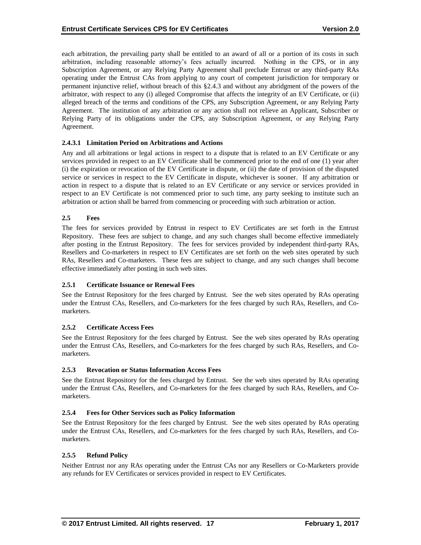each arbitration, the prevailing party shall be entitled to an award of all or a portion of its costs in such arbitration, including reasonable attorney's fees actually incurred. Nothing in the CPS, or in any Subscription Agreement, or any Relying Party Agreement shall preclude Entrust or any third-party RAs operating under the Entrust CAs from applying to any court of competent jurisdiction for temporary or permanent injunctive relief, without breach of this §2.4.3 and without any abridgment of the powers of the arbitrator, with respect to any (i) alleged Compromise that affects the integrity of an EV Certificate, or (ii) alleged breach of the terms and conditions of the CPS, any Subscription Agreement, or any Relying Party Agreement. The institution of any arbitration or any action shall not relieve an Applicant, Subscriber or Relying Party of its obligations under the CPS, any Subscription Agreement, or any Relying Party Agreement.

#### **2.4.3.1 Limitation Period on Arbitrations and Actions**

Any and all arbitrations or legal actions in respect to a dispute that is related to an EV Certificate or any services provided in respect to an EV Certificate shall be commenced prior to the end of one (1) year after (i) the expiration or revocation of the EV Certificate in dispute, or (ii) the date of provision of the disputed service or services in respect to the EV Certificate in dispute, whichever is sooner. If any arbitration or action in respect to a dispute that is related to an EV Certificate or any service or services provided in respect to an EV Certificate is not commenced prior to such time, any party seeking to institute such an arbitration or action shall be barred from commencing or proceeding with such arbitration or action.

## **2.5 Fees**

The fees for services provided by Entrust in respect to EV Certificates are set forth in the Entrust Repository. These fees are subject to change, and any such changes shall become effective immediately after posting in the Entrust Repository. The fees for services provided by independent third-party RAs, Resellers and Co-marketers in respect to EV Certificates are set forth on the web sites operated by such RAs, Resellers and Co-marketers. These fees are subject to change, and any such changes shall become effective immediately after posting in such web sites.

#### **2.5.1 Certificate Issuance or Renewal Fees**

See the Entrust Repository for the fees charged by Entrust. See the web sites operated by RAs operating under the Entrust CAs, Resellers, and Co-marketers for the fees charged by such RAs, Resellers, and Comarketers.

#### **2.5.2 Certificate Access Fees**

See the Entrust Repository for the fees charged by Entrust. See the web sites operated by RAs operating under the Entrust CAs, Resellers, and Co-marketers for the fees charged by such RAs, Resellers, and Comarketers.

#### **2.5.3 Revocation or Status Information Access Fees**

See the Entrust Repository for the fees charged by Entrust. See the web sites operated by RAs operating under the Entrust CAs, Resellers, and Co-marketers for the fees charged by such RAs, Resellers, and Comarketers.

# **2.5.4 Fees for Other Services such as Policy Information**

See the Entrust Repository for the fees charged by Entrust. See the web sites operated by RAs operating under the Entrust CAs, Resellers, and Co-marketers for the fees charged by such RAs, Resellers, and Comarketers.

#### **2.5.5 Refund Policy**

Neither Entrust nor any RAs operating under the Entrust CAs nor any Resellers or Co-Marketers provide any refunds for EV Certificates or services provided in respect to EV Certificates.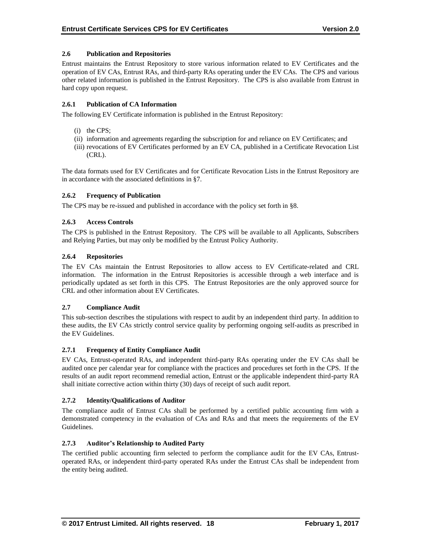# **2.6 Publication and Repositories**

Entrust maintains the Entrust Repository to store various information related to EV Certificates and the operation of EV CAs, Entrust RAs, and third-party RAs operating under the EV CAs. The CPS and various other related information is published in the Entrust Repository. The CPS is also available from Entrust in hard copy upon request.

## **2.6.1 Publication of CA Information**

The following EV Certificate information is published in the Entrust Repository:

- (i) the CPS;
- (ii) information and agreements regarding the subscription for and reliance on EV Certificates; and
- (iii) revocations of EV Certificates performed by an EV CA, published in a Certificate Revocation List (CRL).

The data formats used for EV Certificates and for Certificate Revocation Lists in the Entrust Repository are in accordance with the associated definitions in §7.

## **2.6.2 Frequency of Publication**

The CPS may be re-issued and published in accordance with the policy set forth in §8.

## **2.6.3 Access Controls**

The CPS is published in the Entrust Repository. The CPS will be available to all Applicants, Subscribers and Relying Parties, but may only be modified by the Entrust Policy Authority.

## **2.6.4 Repositories**

The EV CAs maintain the Entrust Repositories to allow access to EV Certificate-related and CRL information. The information in the Entrust Repositories is accessible through a web interface and is periodically updated as set forth in this CPS. The Entrust Repositories are the only approved source for CRL and other information about EV Certificates.

#### **2.7 Compliance Audit**

This sub-section describes the stipulations with respect to audit by an independent third party. In addition to these audits, the EV CAs strictly control service quality by performing ongoing self-audits as prescribed in the EV Guidelines.

#### **2.7.1 Frequency of Entity Compliance Audit**

EV CAs, Entrust-operated RAs, and independent third-party RAs operating under the EV CAs shall be audited once per calendar year for compliance with the practices and procedures set forth in the CPS. If the results of an audit report recommend remedial action, Entrust or the applicable independent third-party RA shall initiate corrective action within thirty (30) days of receipt of such audit report.

# **2.7.2 Identity/Qualifications of Auditor**

The compliance audit of Entrust CAs shall be performed by a certified public accounting firm with a demonstrated competency in the evaluation of CAs and RAs and that meets the requirements of the EV Guidelines.

## **2.7.3 Auditor's Relationship to Audited Party**

The certified public accounting firm selected to perform the compliance audit for the EV CAs, Entrustoperated RAs, or independent third-party operated RAs under the Entrust CAs shall be independent from the entity being audited.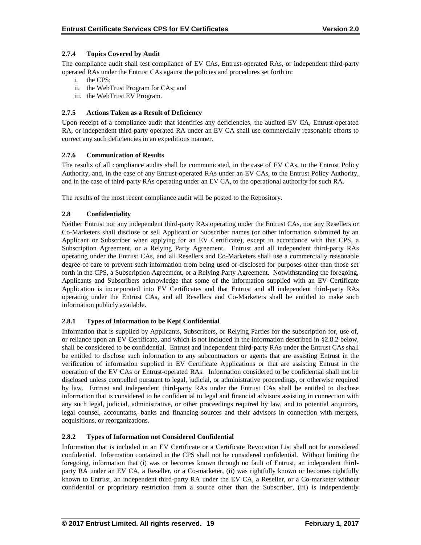# **2.7.4 Topics Covered by Audit**

The compliance audit shall test compliance of EV CAs, Entrust-operated RAs, or independent third-party operated RAs under the Entrust CAs against the policies and procedures set forth in:

- i. the CPS;
- ii. the WebTrust Program for CAs; and
- iii. the WebTrust EV Program.

# **2.7.5 Actions Taken as a Result of Deficiency**

Upon receipt of a compliance audit that identifies any deficiencies, the audited EV CA, Entrust-operated RA, or independent third-party operated RA under an EV CA shall use commercially reasonable efforts to correct any such deficiencies in an expeditious manner.

# **2.7.6 Communication of Results**

The results of all compliance audits shall be communicated, in the case of EV CAs, to the Entrust Policy Authority, and, in the case of any Entrust-operated RAs under an EV CAs, to the Entrust Policy Authority, and in the case of third-party RAs operating under an EV CA, to the operational authority for such RA.

The results of the most recent compliance audit will be posted to the Repository.

# **2.8 Confidentiality**

Neither Entrust nor any independent third-party RAs operating under the Entrust CAs, nor any Resellers or Co-Marketers shall disclose or sell Applicant or Subscriber names (or other information submitted by an Applicant or Subscriber when applying for an EV Certificate), except in accordance with this CPS, a Subscription Agreement, or a Relying Party Agreement. Entrust and all independent third-party RAs operating under the Entrust CAs, and all Resellers and Co-Marketers shall use a commercially reasonable degree of care to prevent such information from being used or disclosed for purposes other than those set forth in the CPS, a Subscription Agreement, or a Relying Party Agreement. Notwithstanding the foregoing, Applicants and Subscribers acknowledge that some of the information supplied with an EV Certificate Application is incorporated into EV Certificates and that Entrust and all independent third-party RAs operating under the Entrust CAs, and all Resellers and Co-Marketers shall be entitled to make such information publicly available.

# **2.8.1 Types of Information to be Kept Confidential**

Information that is supplied by Applicants, Subscribers, or Relying Parties for the subscription for, use of, or reliance upon an EV Certificate, and which is not included in the information described in §2.8.2 below, shall be considered to be confidential. Entrust and independent third-party RAs under the Entrust CAs shall be entitled to disclose such information to any subcontractors or agents that are assisting Entrust in the verification of information supplied in EV Certificate Applications or that are assisting Entrust in the operation of the EV CAs or Entrust-operated RAs. Information considered to be confidential shall not be disclosed unless compelled pursuant to legal, judicial, or administrative proceedings, or otherwise required by law. Entrust and independent third-party RAs under the Entrust CAs shall be entitled to disclose information that is considered to be confidential to legal and financial advisors assisting in connection with any such legal, judicial, administrative, or other proceedings required by law, and to potential acquirors, legal counsel, accountants, banks and financing sources and their advisors in connection with mergers, acquisitions, or reorganizations.

# **2.8.2 Types of Information not Considered Confidential**

Information that is included in an EV Certificate or a Certificate Revocation List shall not be considered confidential. Information contained in the CPS shall not be considered confidential. Without limiting the foregoing, information that (i) was or becomes known through no fault of Entrust, an independent thirdparty RA under an EV CA, a Reseller, or a Co-marketer, (ii) was rightfully known or becomes rightfully known to Entrust, an independent third-party RA under the EV CA, a Reseller, or a Co-marketer without confidential or proprietary restriction from a source other than the Subscriber, (iii) is independently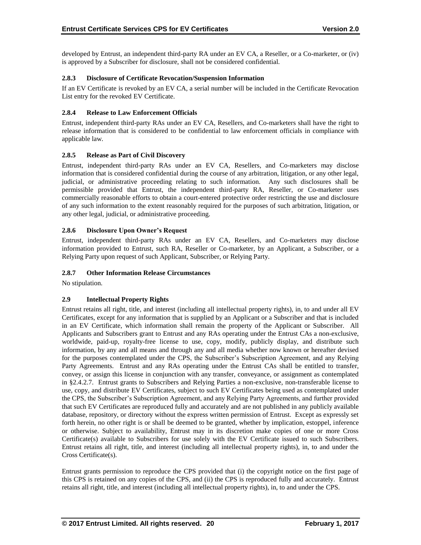developed by Entrust, an independent third-party RA under an EV CA, a Reseller, or a Co-marketer, or (iv) is approved by a Subscriber for disclosure, shall not be considered confidential.

# **2.8.3 Disclosure of Certificate Revocation/Suspension Information**

If an EV Certificate is revoked by an EV CA, a serial number will be included in the Certificate Revocation List entry for the revoked EV Certificate.

## **2.8.4 Release to Law Enforcement Officials**

Entrust, independent third-party RAs under an EV CA, Resellers, and Co-marketers shall have the right to release information that is considered to be confidential to law enforcement officials in compliance with applicable law.

# **2.8.5 Release as Part of Civil Discovery**

Entrust, independent third-party RAs under an EV CA, Resellers, and Co-marketers may disclose information that is considered confidential during the course of any arbitration, litigation, or any other legal, judicial, or administrative proceeding relating to such information. Any such disclosures shall be permissible provided that Entrust, the independent third-party RA, Reseller, or Co-marketer uses commercially reasonable efforts to obtain a court-entered protective order restricting the use and disclosure of any such information to the extent reasonably required for the purposes of such arbitration, litigation, or any other legal, judicial, or administrative proceeding.

## **2.8.6 Disclosure Upon Owner's Request**

Entrust, independent third-party RAs under an EV CA, Resellers, and Co-marketers may disclose information provided to Entrust, such RA, Reseller or Co-marketer, by an Applicant, a Subscriber, or a Relying Party upon request of such Applicant, Subscriber, or Relying Party.

# **2.8.7 Other Information Release Circumstances**

No stipulation.

# **2.9 Intellectual Property Rights**

Entrust retains all right, title, and interest (including all intellectual property rights), in, to and under all EV Certificates, except for any information that is supplied by an Applicant or a Subscriber and that is included in an EV Certificate, which information shall remain the property of the Applicant or Subscriber. All Applicants and Subscribers grant to Entrust and any RAs operating under the Entrust CAs a non-exclusive, worldwide, paid-up, royalty-free license to use, copy, modify, publicly display, and distribute such information, by any and all means and through any and all media whether now known or hereafter devised for the purposes contemplated under the CPS, the Subscriber's Subscription Agreement, and any Relying Party Agreements. Entrust and any RAs operating under the Entrust CAs shall be entitled to transfer, convey, or assign this license in conjunction with any transfer, conveyance, or assignment as contemplated in §2.4.2.7. Entrust grants to Subscribers and Relying Parties a non-exclusive, non-transferable license to use, copy, and distribute EV Certificates, subject to such EV Certificates being used as contemplated under the CPS, the Subscriber's Subscription Agreement, and any Relying Party Agreements, and further provided that such EV Certificates are reproduced fully and accurately and are not published in any publicly available database, repository, or directory without the express written permission of Entrust. Except as expressly set forth herein, no other right is or shall be deemed to be granted, whether by implication, estoppel, inference or otherwise. Subject to availability, Entrust may in its discretion make copies of one or more Cross Certificate(s) available to Subscribers for use solely with the EV Certificate issued to such Subscribers. Entrust retains all right, title, and interest (including all intellectual property rights), in, to and under the Cross Certificate(s).

Entrust grants permission to reproduce the CPS provided that (i) the copyright notice on the first page of this CPS is retained on any copies of the CPS, and (ii) the CPS is reproduced fully and accurately. Entrust retains all right, title, and interest (including all intellectual property rights), in, to and under the CPS.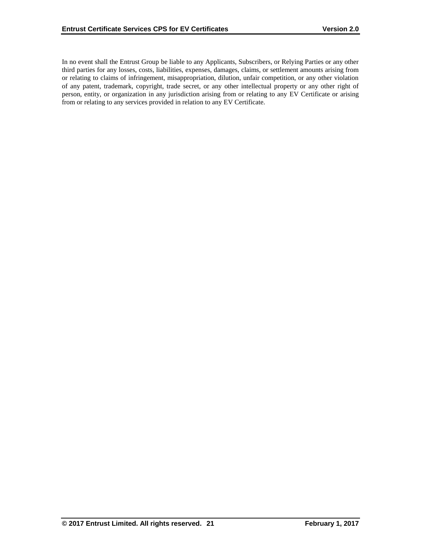In no event shall the Entrust Group be liable to any Applicants, Subscribers, or Relying Parties or any other third parties for any losses, costs, liabilities, expenses, damages, claims, or settlement amounts arising from or relating to claims of infringement, misappropriation, dilution, unfair competition, or any other violation of any patent, trademark, copyright, trade secret, or any other intellectual property or any other right of person, entity, or organization in any jurisdiction arising from or relating to any EV Certificate or arising from or relating to any services provided in relation to any EV Certificate.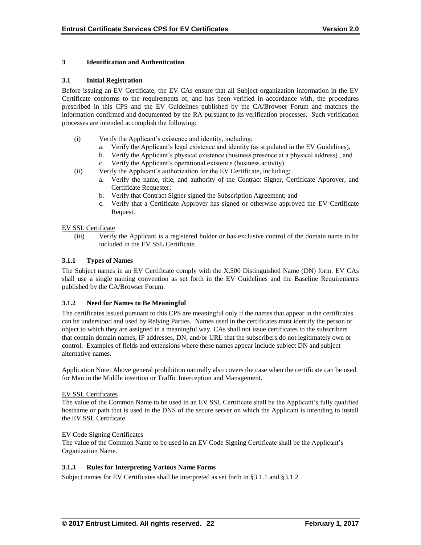# **3 Identification and Authentication**

## **3.1 Initial Registration**

Before issuing an EV Certificate, the EV CAs ensure that all Subject organization information in the EV Certificate conforms to the requirements of, and has been verified in accordance with, the procedures prescribed in this CPS and the EV Guidelines published by the CA/Browser Forum and matches the information confirmed and documented by the RA pursuant to its verification processes. Such verification processes are intended accomplish the following:

- (i) Verify the Applicant's existence and identity, including;
	- a. Verify the Applicant's legal existence and identity (as stipulated in the EV Guidelines),
	- b. Verify the Applicant's physical existence (business presence at a physical address) , and
	- c. Verify the Applicant's operational existence (business activity).
- (ii) Verify the Applicant's authorization for the EV Certificate, including;
	- a. Verify the name, title, and authority of the Contract Signer, Certificate Approver, and Certificate Requester;
	- b. Verify that Contract Signer signed the Subscription Agreement; and
	- c. Verify that a Certificate Approver has signed or otherwise approved the EV Certificate Request.

## EV SSL Certificate

(iii) Verify the Applicant is a registered holder or has exclusive control of the domain name to be included in the EV SSL Certificate.

## **3.1.1 Types of Names**

The Subject names in an EV Certificate comply with the X.500 Distinguished Name (DN) form. EV CAs shall use a single naming convention as set forth in the EV Guidelines and the Baseline Requirements published by the CA/Browser Forum.

#### **3.1.2 Need for Names to Be Meaningful**

The certificates issued pursuant to this CPS are meaningful only if the names that appear in the certificates can be understood and used by Relying Parties. Names used in the certificates must identify the person or object to which they are assigned in a meaningful way. CAs shall not issue certificates to the subscribers that contain domain names, IP addresses, DN, and/or URL that the subscribers do not legitimately own or control. Examples of fields and extensions where these names appear include subject DN and subject alternative names.

Application Note: Above general prohibition naturally also covers the case when the certificate can be used for Man in the Middle insertion or Traffic Interception and Management.

#### EV SSL Certificates

The value of the Common Name to be used in an EV SSL Certificate shall be the Applicant's fully qualified hostname or path that is used in the DNS of the secure server on which the Applicant is intending to install the EV SSL Certificate.

#### EV Code Signing Certificates

The value of the Common Name to be used in an EV Code Signing Certificate shall be the Applicant's Organization Name.

# **3.1.3 Rules for Interpreting Various Name Forms**

Subject names for EV Certificates shall be interpreted as set forth in §3.1.1 and §3.1.2.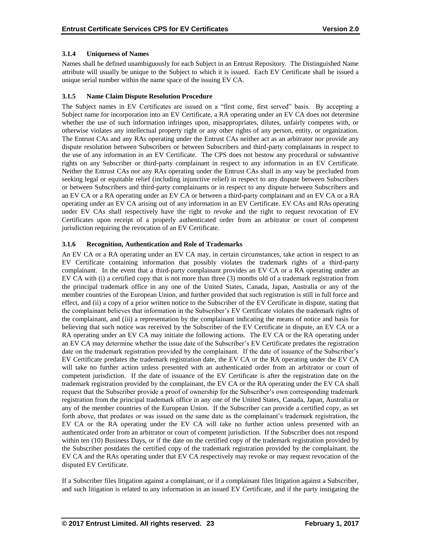# **3.1.4 Uniqueness of Names**

Names shall be defined unambiguously for each Subject in an Entrust Repository. The Distinguished Name attribute will usually be unique to the Subject to which it is issued. Each EV Certificate shall be issued a unique serial number within the name space of the issuing EV CA.

## **3.1.5 Name Claim Dispute Resolution Procedure**

The Subject names in EV Certificates are issued on a "first come, first served" basis. By accepting a Subject name for incorporation into an EV Certificate, a RA operating under an EV CA does not determine whether the use of such information infringes upon, misappropriates, dilutes, unfairly competes with, or otherwise violates any intellectual property right or any other rights of any person, entity, or organization. The Entrust CAs and any RAs operating under the Entrust CAs neither act as an arbitrator nor provide any dispute resolution between Subscribers or between Subscribers and third-party complainants in respect to the use of any information in an EV Certificate. The CPS does not bestow any procedural or substantive rights on any Subscriber or third-party complainant in respect to any information in an EV Certificate. Neither the Entrust CAs nor any RAs operating under the Entrust CAs shall in any way be precluded from seeking legal or equitable relief (including injunctive relief) in respect to any dispute between Subscribers or between Subscribers and third-party complainants or in respect to any dispute between Subscribers and an EV CA or a RA operating under an EV CA or between a third-party complainant and an EV CA or a RA operating under an EV CA arising out of any information in an EV Certificate. EV CAs and RAs operating under EV CAs shall respectively have the right to revoke and the right to request revocation of EV Certificates upon receipt of a properly authenticated order from an arbitrator or court of competent jurisdiction requiring the revocation of an EV Certificate.

## **3.1.6 Recognition, Authentication and Role of Trademarks**

An EV CA or a RA operating under an EV CA may, in certain circumstances, take action in respect to an EV Certificate containing information that possibly violates the trademark rights of a third-party complainant. In the event that a third-party complainant provides an EV CA or a RA operating under an EV CA with (i) a certified copy that is not more than three (3) months old of a trademark registration from the principal trademark office in any one of the United States, Canada, Japan, Australia or any of the member countries of the European Union, and further provided that such registration is still in full force and effect, and (ii) a copy of a prior written notice to the Subscriber of the EV Certificate in dispute, stating that the complainant believes that information in the Subscriber's EV Certificate violates the trademark rights of the complainant, and (iii) a representation by the complainant indicating the means of notice and basis for believing that such notice was received by the Subscriber of the EV Certificate in dispute, an EV CA or a RA operating under an EV CA may initiate the following actions. The EV CA or the RA operating under an EV CA may determine whether the issue date of the Subscriber's EV Certificate predates the registration date on the trademark registration provided by the complainant. If the date of issuance of the Subscriber's EV Certificate predates the trademark registration date, the EV CA or the RA operating under the EV CA will take no further action unless presented with an authenticated order from an arbitrator or court of competent jurisdiction. If the date of issuance of the EV Certificate is after the registration date on the trademark registration provided by the complainant, the EV CA or the RA operating under the EV CA shall request that the Subscriber provide a proof of ownership for the Subscriber's own corresponding trademark registration from the principal trademark office in any one of the United States, Canada, Japan, Australia or any of the member countries of the European Union. If the Subscriber can provide a certified copy, as set forth above, that predates or was issued on the same date as the complainant's trademark registration, the EV CA or the RA operating under the EV CA will take no further action unless presented with an authenticated order from an arbitrator or court of competent jurisdiction. If the Subscriber does not respond within ten (10) Business Days, or if the date on the certified copy of the trademark registration provided by the Subscriber postdates the certified copy of the trademark registration provided by the complainant, the EV CA and the RAs operating under that EV CA respectively may revoke or may request revocation of the disputed EV Certificate.

If a Subscriber files litigation against a complainant, or if a complainant files litigation against a Subscriber, and such litigation is related to any information in an issued EV Certificate, and if the party instigating the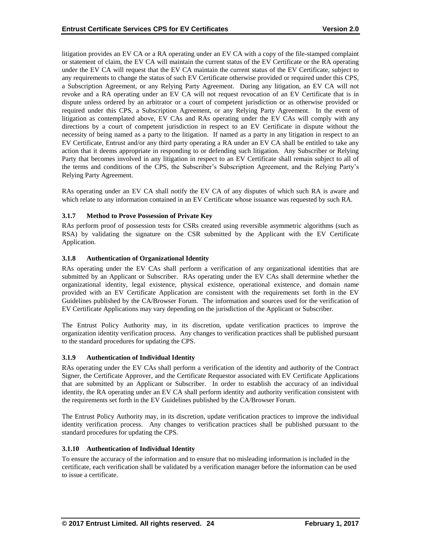litigation provides an EV CA or a RA operating under an EV CA with a copy of the file-stamped complaint or statement of claim, the EV CA will maintain the current status of the EV Certificate or the RA operating under the EV CA will request that the EV CA maintain the current status of the EV Certificate, subject to any requirements to change the status of such EV Certificate otherwise provided or required under this CPS, a Subscription Agreement, or any Relying Party Agreement. During any litigation, an EV CA will not revoke and a RA operating under an EV CA will not request revocation of an EV Certificate that is in dispute unless ordered by an arbitrator or a court of competent jurisdiction or as otherwise provided or required under this CPS, a Subscription Agreement, or any Relying Party Agreement. In the event of litigation as contemplated above, EV CAs and RAs operating under the EV CAs will comply with any directions by a court of competent jurisdiction in respect to an EV Certificate in dispute without the necessity of being named as a party to the litigation. If named as a party in any litigation in respect to an EV Certificate, Entrust and/or any third party operating a RA under an EV CA shall be entitled to take any action that it deems appropriate in responding to or defending such litigation. Any Subscriber or Relying Party that becomes involved in any litigation in respect to an EV Certificate shall remain subject to all of the terms and conditions of the CPS, the Subscriber's Subscription Agreement, and the Relying Party's Relying Party Agreement.

RAs operating under an EV CA shall notify the EV CA of any disputes of which such RA is aware and which relate to any information contained in an EV Certificate whose issuance was requested by such RA.

# **3.1.7 Method to Prove Possession of Private Key**

RAs perform proof of possession tests for CSRs created using reversible asymmetric algorithms (such as RSA) by validating the signature on the CSR submitted by the Applicant with the EV Certificate Application.

#### **3.1.8 Authentication of Organizational Identity**

RAs operating under the EV CAs shall perform a verification of any organizational identities that are submitted by an Applicant or Subscriber. RAs operating under the EV CAs shall determine whether the organizational identity, legal existence, physical existence, operational existence, and domain name provided with an EV Certificate Application are consistent with the requirements set forth in the EV Guidelines published by the CA/Browser Forum. The information and sources used for the verification of EV Certificate Applications may vary depending on the jurisdiction of the Applicant or Subscriber.

The Entrust Policy Authority may, in its discretion, update verification practices to improve the organization identity verification process. Any changes to verification practices shall be published pursuant to the standard procedures for updating the CPS.

#### **3.1.9 Authentication of Individual Identity**

RAs operating under the EV CAs shall perform a verification of the identity and authority of the Contract Signer, the Certificate Approver, and the Certificate Requestor associated with EV Certificate Applications that are submitted by an Applicant or Subscriber. In order to establish the accuracy of an individual identity, the RA operating under an EV CA shall perform identity and authority verification consistent with the requirements set forth in the EV Guidelines published by the CA/Browser Forum.

The Entrust Policy Authority may, in its discretion, update verification practices to improve the individual identity verification process. Any changes to verification practices shall be published pursuant to the standard procedures for updating the CPS.

#### **3.1.10 Authentication of Individual Identity**

To ensure the accuracy of the information and to ensure that no misleading information is included in the certificate, each verification shall be validated by a verification manager before the information can be used to issue a certificate.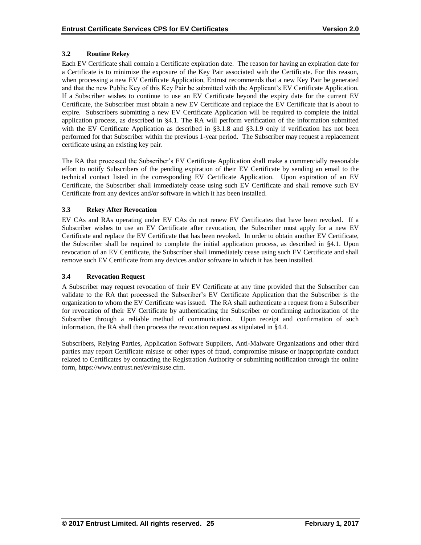# **3.2 Routine Rekey**

Each EV Certificate shall contain a Certificate expiration date. The reason for having an expiration date for a Certificate is to minimize the exposure of the Key Pair associated with the Certificate. For this reason, when processing a new EV Certificate Application, Entrust recommends that a new Key Pair be generated and that the new Public Key of this Key Pair be submitted with the Applicant's EV Certificate Application. If a Subscriber wishes to continue to use an EV Certificate beyond the expiry date for the current EV Certificate, the Subscriber must obtain a new EV Certificate and replace the EV Certificate that is about to expire. Subscribers submitting a new EV Certificate Application will be required to complete the initial application process, as described in §4.1. The RA will perform verification of the information submitted with the EV Certificate Application as described in §3.1.8 and §3.1.9 only if verification has not been performed for that Subscriber within the previous 1-year period. The Subscriber may request a replacement certificate using an existing key pair.

The RA that processed the Subscriber's EV Certificate Application shall make a commercially reasonable effort to notify Subscribers of the pending expiration of their EV Certificate by sending an email to the technical contact listed in the corresponding EV Certificate Application. Upon expiration of an EV Certificate, the Subscriber shall immediately cease using such EV Certificate and shall remove such EV Certificate from any devices and/or software in which it has been installed.

## **3.3 Rekey After Revocation**

EV CAs and RAs operating under EV CAs do not renew EV Certificates that have been revoked. If a Subscriber wishes to use an EV Certificate after revocation, the Subscriber must apply for a new EV Certificate and replace the EV Certificate that has been revoked. In order to obtain another EV Certificate, the Subscriber shall be required to complete the initial application process, as described in §4.1. Upon revocation of an EV Certificate, the Subscriber shall immediately cease using such EV Certificate and shall remove such EV Certificate from any devices and/or software in which it has been installed.

# **3.4 Revocation Request**

A Subscriber may request revocation of their EV Certificate at any time provided that the Subscriber can validate to the RA that processed the Subscriber's EV Certificate Application that the Subscriber is the organization to whom the EV Certificate was issued. The RA shall authenticate a request from a Subscriber for revocation of their EV Certificate by authenticating the Subscriber or confirming authorization of the Subscriber through a reliable method of communication. Upon receipt and confirmation of such information, the RA shall then process the revocation request as stipulated in §4.4.

Subscribers, Relying Parties, Application Software Suppliers, Anti-Malware Organizations and other third parties may report Certificate misuse or other types of fraud, compromise misuse or inappropriate conduct related to Certificates by contacting the Registration Authority or submitting notification through the online form, https://www.entrust.net/ev/misuse.cfm.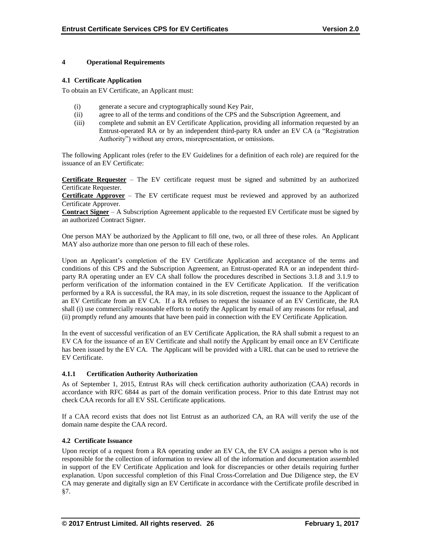## **4 Operational Requirements**

## **4.1 Certificate Application**

To obtain an EV Certificate, an Applicant must:

- (i) generate a secure and cryptographically sound Key Pair,
- (ii) agree to all of the terms and conditions of the CPS and the Subscription Agreement, and
- (iii) complete and submit an EV Certificate Application, providing all information requested by an Entrust-operated RA or by an independent third-party RA under an EV CA (a "Registration Authority") without any errors, misrepresentation, or omissions.

The following Applicant roles (refer to the EV Guidelines for a definition of each role) are required for the issuance of an EV Certificate:

**Certificate Requester** – The EV certificate request must be signed and submitted by an authorized Certificate Requester.

**Certificate Approver** – The EV certificate request must be reviewed and approved by an authorized Certificate Approver.

**Contract Signer** – A Subscription Agreement applicable to the requested EV Certificate must be signed by an authorized Contract Signer.

One person MAY be authorized by the Applicant to fill one, two, or all three of these roles. An Applicant MAY also authorize more than one person to fill each of these roles.

Upon an Applicant's completion of the EV Certificate Application and acceptance of the terms and conditions of this CPS and the Subscription Agreement, an Entrust-operated RA or an independent thirdparty RA operating under an EV CA shall follow the procedures described in Sections 3.1.8 and 3.1.9 to perform verification of the information contained in the EV Certificate Application. If the verification performed by a RA is successful, the RA may, in its sole discretion, request the issuance to the Applicant of an EV Certificate from an EV CA. If a RA refuses to request the issuance of an EV Certificate, the RA shall (i) use commercially reasonable efforts to notify the Applicant by email of any reasons for refusal, and (ii) promptly refund any amounts that have been paid in connection with the EV Certificate Application.

In the event of successful verification of an EV Certificate Application, the RA shall submit a request to an EV CA for the issuance of an EV Certificate and shall notify the Applicant by email once an EV Certificate has been issued by the EV CA. The Applicant will be provided with a URL that can be used to retrieve the EV Certificate.

# **4.1.1 Certification Authority Authorization**

As of September 1, 2015, Entrust RAs will check certification authority authorization (CAA) records in accordance with RFC 6844 as part of the domain verification process. Prior to this date Entrust may not check CAA records for all EV SSL Certificate applications.

If a CAA record exists that does not list Entrust as an authorized CA, an RA will verify the use of the domain name despite the CAA record.

# **4.2 Certificate Issuance**

Upon receipt of a request from a RA operating under an EV CA, the EV CA assigns a person who is not responsible for the collection of information to review all of the information and documentation assembled in support of the EV Certificate Application and look for discrepancies or other details requiring further explanation. Upon successful completion of this Final Cross-Correlation and Due Diligence step, the EV CA may generate and digitally sign an EV Certificate in accordance with the Certificate profile described in §7.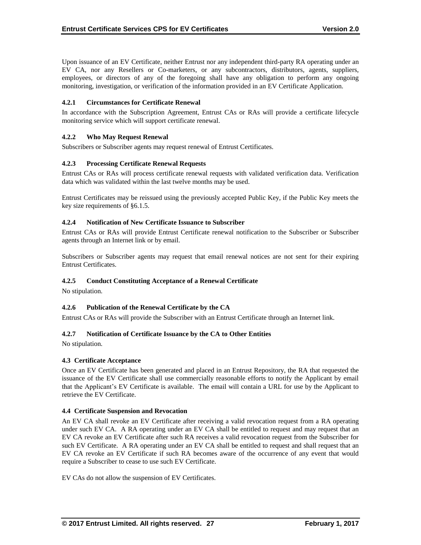Upon issuance of an EV Certificate, neither Entrust nor any independent third-party RA operating under an EV CA, nor any Resellers or Co-marketers, or any subcontractors, distributors, agents, suppliers, employees, or directors of any of the foregoing shall have any obligation to perform any ongoing monitoring, investigation, or verification of the information provided in an EV Certificate Application.

# **4.2.1 Circumstances for Certificate Renewal**

In accordance with the Subscription Agreement, Entrust CAs or RAs will provide a certificate lifecycle monitoring service which will support certificate renewal.

#### **4.2.2 Who May Request Renewal**

Subscribers or Subscriber agents may request renewal of Entrust Certificates.

## **4.2.3 Processing Certificate Renewal Requests**

Entrust CAs or RAs will process certificate renewal requests with validated verification data. Verification data which was validated within the last twelve months may be used.

Entrust Certificates may be reissued using the previously accepted Public Key, if the Public Key meets the key size requirements of §6.1.5.

#### **4.2.4 Notification of New Certificate Issuance to Subscriber**

Entrust CAs or RAs will provide Entrust Certificate renewal notification to the Subscriber or Subscriber agents through an Internet link or by email.

Subscribers or Subscriber agents may request that email renewal notices are not sent for their expiring Entrust Certificates.

#### **4.2.5 Conduct Constituting Acceptance of a Renewal Certificate**

No stipulation.

#### **4.2.6 Publication of the Renewal Certificate by the CA**

Entrust CAs or RAs will provide the Subscriber with an Entrust Certificate through an Internet link.

#### **4.2.7 Notification of Certificate Issuance by the CA to Other Entities**

No stipulation.

#### **4.3 Certificate Acceptance**

Once an EV Certificate has been generated and placed in an Entrust Repository, the RA that requested the issuance of the EV Certificate shall use commercially reasonable efforts to notify the Applicant by email that the Applicant's EV Certificate is available. The email will contain a URL for use by the Applicant to retrieve the EV Certificate.

#### **4.4 Certificate Suspension and Revocation**

An EV CA shall revoke an EV Certificate after receiving a valid revocation request from a RA operating under such EV CA. A RA operating under an EV CA shall be entitled to request and may request that an EV CA revoke an EV Certificate after such RA receives a valid revocation request from the Subscriber for such EV Certificate. A RA operating under an EV CA shall be entitled to request and shall request that an EV CA revoke an EV Certificate if such RA becomes aware of the occurrence of any event that would require a Subscriber to cease to use such EV Certificate.

EV CAs do not allow the suspension of EV Certificates.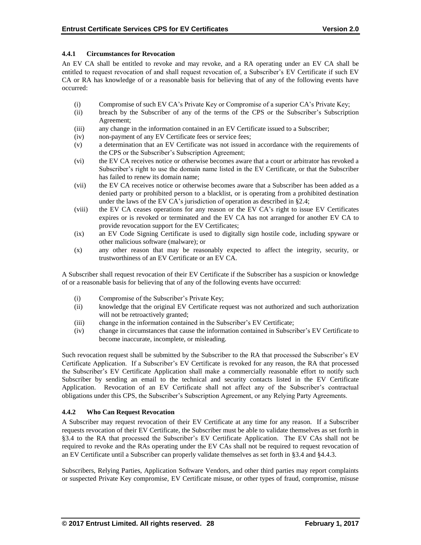# **4.4.1 Circumstances for Revocation**

An EV CA shall be entitled to revoke and may revoke, and a RA operating under an EV CA shall be entitled to request revocation of and shall request revocation of, a Subscriber's EV Certificate if such EV CA or RA has knowledge of or a reasonable basis for believing that of any of the following events have occurred:

- (i) Compromise of such EV CA's Private Key or Compromise of a superior CA's Private Key;
- (ii) breach by the Subscriber of any of the terms of the CPS or the Subscriber's Subscription Agreement;
- (iii) any change in the information contained in an EV Certificate issued to a Subscriber;
- (iv) non-payment of any EV Certificate fees or service fees;
- (v) a determination that an EV Certificate was not issued in accordance with the requirements of the CPS or the Subscriber's Subscription Agreement;
- (vi) the EV CA receives notice or otherwise becomes aware that a court or arbitrator has revoked a Subscriber's right to use the domain name listed in the EV Certificate, or that the Subscriber has failed to renew its domain name;
- (vii) the EV CA receives notice or otherwise becomes aware that a Subscriber has been added as a denied party or prohibited person to a blacklist, or is operating from a prohibited destination under the laws of the EV CA's jurisdiction of operation as described in §2.4;
- (viii) the EV CA ceases operations for any reason or the EV CA's right to issue EV Certificates expires or is revoked or terminated and the EV CA has not arranged for another EV CA to provide revocation support for the EV Certificates;
- (ix) an EV Code Signing Certificate is used to digitally sign hostile code, including spyware or other malicious software (malware); or
- (x) any other reason that may be reasonably expected to affect the integrity, security, or trustworthiness of an EV Certificate or an EV CA.

A Subscriber shall request revocation of their EV Certificate if the Subscriber has a suspicion or knowledge of or a reasonable basis for believing that of any of the following events have occurred:

- (i) Compromise of the Subscriber's Private Key;
- (ii) knowledge that the original EV Certificate request was not authorized and such authorization will not be retroactively granted;
- (iii) change in the information contained in the Subscriber's EV Certificate;
- (iv) change in circumstances that cause the information contained in Subscriber's EV Certificate to become inaccurate, incomplete, or misleading.

Such revocation request shall be submitted by the Subscriber to the RA that processed the Subscriber's EV Certificate Application. If a Subscriber's EV Certificate is revoked for any reason, the RA that processed the Subscriber's EV Certificate Application shall make a commercially reasonable effort to notify such Subscriber by sending an email to the technical and security contacts listed in the EV Certificate Application. Revocation of an EV Certificate shall not affect any of the Subscriber's contractual obligations under this CPS, the Subscriber's Subscription Agreement, or any Relying Party Agreements.

# **4.4.2 Who Can Request Revocation**

A Subscriber may request revocation of their EV Certificate at any time for any reason. If a Subscriber requests revocation of their EV Certificate, the Subscriber must be able to validate themselves as set forth in §3.4 to the RA that processed the Subscriber's EV Certificate Application. The EV CAs shall not be required to revoke and the RAs operating under the EV CAs shall not be required to request revocation of an EV Certificate until a Subscriber can properly validate themselves as set forth in §3.4 and §4.4.3.

Subscribers, Relying Parties, Application Software Vendors, and other third parties may report complaints or suspected Private Key compromise, EV Certificate misuse, or other types of fraud, compromise, misuse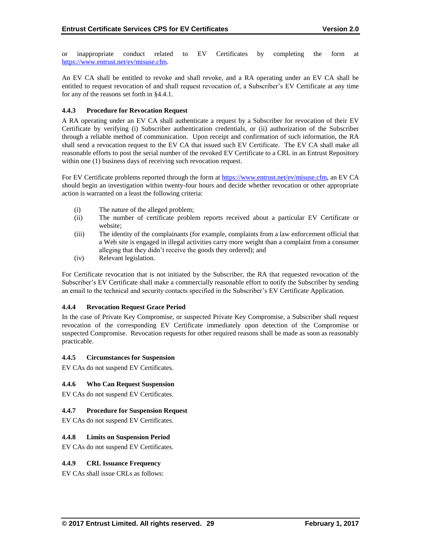or inappropriate conduct related to EV Certificates by completing the form at [https://www.entrust.net/ev/misuse.cfm.](https://www.entrust.net/ev/misuse.cfm)

An EV CA shall be entitled to revoke and shall revoke, and a RA operating under an EV CA shall be entitled to request revocation of and shall request revocation of, a Subscriber's EV Certificate at any time for any of the reasons set forth in §4.4.1.

## **4.4.3 Procedure for Revocation Request**

A RA operating under an EV CA shall authenticate a request by a Subscriber for revocation of their EV Certificate by verifying (i) Subscriber authentication credentials, or (ii) authorization of the Subscriber through a reliable method of communication. Upon receipt and confirmation of such information, the RA shall send a revocation request to the EV CA that issued such EV Certificate. The EV CA shall make all reasonable efforts to post the serial number of the revoked EV Certificate to a CRL in an Entrust Repository within one (1) business days of receiving such revocation request.

For EV Certificate problems reported through the form at [https://www.entrust.net/ev/misuse.cfm,](https://www.entrust.net/ev/misuse.cfm) an EV CA should begin an investigation within twenty-four hours and decide whether revocation or other appropriate action is warranted on a least the following criteria:

- (i) The nature of the alleged problem;
- (ii) The number of certificate problem reports received about a particular EV Certificate or website;
- (iii) The identity of the complainants (for example, complaints from a law enforcement official that a Web site is engaged in illegal activities carry more weight than a complaint from a consumer alleging that they didn't receive the goods they ordered); and
- (iv) Relevant legislation.

For Certificate revocation that is not initiated by the Subscriber, the RA that requested revocation of the Subscriber's EV Certificate shall make a commercially reasonable effort to notify the Subscriber by sending an email to the technical and security contacts specified in the Subscriber's EV Certificate Application.

# **4.4.4 Revocation Request Grace Period**

In the case of Private Key Compromise, or suspected Private Key Compromise, a Subscriber shall request revocation of the corresponding EV Certificate immediately upon detection of the Compromise or suspected Compromise. Revocation requests for other required reasons shall be made as soon as reasonably practicable.

#### **4.4.5 Circumstances for Suspension**

EV CAs do not suspend EV Certificates.

#### **4.4.6 Who Can Request Suspension**

EV CAs do not suspend EV Certificates.

# **4.4.7 Procedure for Suspension Request**

EV CAs do not suspend EV Certificates.

#### **4.4.8 Limits on Suspension Period**

EV CAs do not suspend EV Certificates.

#### **4.4.9 CRL Issuance Frequency**

EV CAs shall issue CRLs as follows: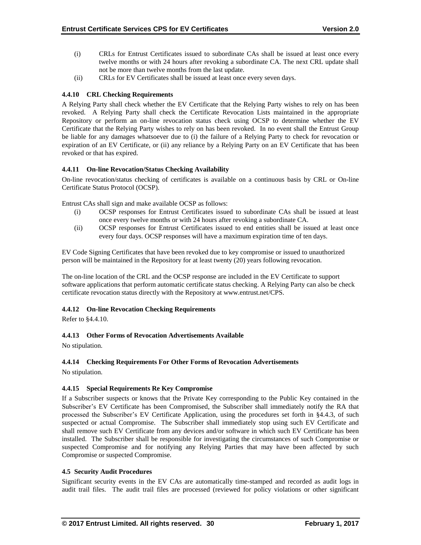- (i) CRLs for Entrust Certificates issued to subordinate CAs shall be issued at least once every twelve months or with 24 hours after revoking a subordinate CA. The next CRL update shall not be more than twelve months from the last update.
- (ii) CRLs for EV Certificates shall be issued at least once every seven days.

# **4.4.10 CRL Checking Requirements**

A Relying Party shall check whether the EV Certificate that the Relying Party wishes to rely on has been revoked. A Relying Party shall check the Certificate Revocation Lists maintained in the appropriate Repository or perform an on-line revocation status check using OCSP to determine whether the EV Certificate that the Relying Party wishes to rely on has been revoked. In no event shall the Entrust Group be liable for any damages whatsoever due to (i) the failure of a Relying Party to check for revocation or expiration of an EV Certificate, or (ii) any reliance by a Relying Party on an EV Certificate that has been revoked or that has expired.

## **4.4.11 On-line Revocation/Status Checking Availability**

On-line revocation/status checking of certificates is available on a continuous basis by CRL or On-line Certificate Status Protocol (OCSP).

Entrust CAs shall sign and make available OCSP as follows:

- (i) OCSP responses for Entrust Certificates issued to subordinate CAs shall be issued at least once every twelve months or with 24 hours after revoking a subordinate CA.
- (ii) OCSP responses for Entrust Certificates issued to end entities shall be issued at least once every four days. OCSP responses will have a maximum expiration time of ten days.

EV Code Signing Certificates that have been revoked due to key compromise or issued to unauthorized person will be maintained in the Repository for at least twenty (20) years following revocation.

The on-line location of the CRL and the OCSP response are included in the EV Certificate to support software applications that perform automatic certificate status checking. A Relying Party can also be check certificate revocation status directly with the Repository at www.entrust.net/CPS.

#### **4.4.12 On-line Revocation Checking Requirements**

Refer to §4.4.10.

# **4.4.13 Other Forms of Revocation Advertisements Available**

No stipulation.

#### **4.4.14 Checking Requirements For Other Forms of Revocation Advertisements**

No stipulation.

#### **4.4.15 Special Requirements Re Key Compromise**

If a Subscriber suspects or knows that the Private Key corresponding to the Public Key contained in the Subscriber's EV Certificate has been Compromised, the Subscriber shall immediately notify the RA that processed the Subscriber's EV Certificate Application, using the procedures set forth in §4.4.3, of such suspected or actual Compromise. The Subscriber shall immediately stop using such EV Certificate and shall remove such EV Certificate from any devices and/or software in which such EV Certificate has been installed. The Subscriber shall be responsible for investigating the circumstances of such Compromise or suspected Compromise and for notifying any Relying Parties that may have been affected by such Compromise or suspected Compromise.

#### **4.5 Security Audit Procedures**

Significant security events in the EV CAs are automatically time-stamped and recorded as audit logs in audit trail files. The audit trail files are processed (reviewed for policy violations or other significant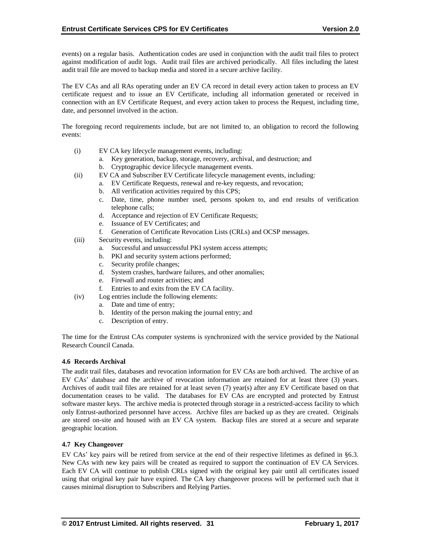events) on a regular basis. Authentication codes are used in conjunction with the audit trail files to protect against modification of audit logs. Audit trail files are archived periodically. All files including the latest audit trail file are moved to backup media and stored in a secure archive facility.

The EV CAs and all RAs operating under an EV CA record in detail every action taken to process an EV certificate request and to issue an EV Certificate, including all information generated or received in connection with an EV Certificate Request, and every action taken to process the Request, including time, date, and personnel involved in the action.

The foregoing record requirements include, but are not limited to, an obligation to record the following events:

- (i) EV CA key lifecycle management events, including:
	- a. Key generation, backup, storage, recovery, archival, and destruction; and
	- b. Cryptographic device lifecycle management events.
- (ii) EV CA and Subscriber EV Certificate lifecycle management events, including:
	- a. EV Certificate Requests, renewal and re-key requests, and revocation;
	- b. All verification activities required by this CPS;
	- c. Date, time, phone number used, persons spoken to, and end results of verification telephone calls;
	- d. Acceptance and rejection of EV Certificate Requests;
	- e. Issuance of EV Certificates; and
	- f. Generation of Certificate Revocation Lists (CRLs) and OCSP messages.
- (iii) Security events, including:
	- a. Successful and unsuccessful PKI system access attempts;
	- b. PKI and security system actions performed;
	- c. Security profile changes;
	- d. System crashes, hardware failures, and other anomalies;
	- e. Firewall and router activities; and
	- f. Entries to and exits from the EV CA facility.
- (iv) Log entries include the following elements:
	- a. Date and time of entry;
	- b. Identity of the person making the journal entry; and
	- c. Description of entry.

The time for the Entrust CAs computer systems is synchronized with the service provided by the National Research Council Canada.

#### **4.6 Records Archival**

The audit trail files, databases and revocation information for EV CAs are both archived. The archive of an EV CAs' database and the archive of revocation information are retained for at least three (3) years. Archives of audit trail files are retained for at least seven (7) year(s) after any EV Certificate based on that documentation ceases to be valid. The databases for EV CAs are encrypted and protected by Entrust software master keys. The archive media is protected through storage in a restricted-access facility to which only Entrust-authorized personnel have access. Archive files are backed up as they are created. Originals are stored on-site and housed with an EV CA system. Backup files are stored at a secure and separate geographic location.

#### **4.7 Key Changeover**

EV CAs' key pairs will be retired from service at the end of their respective lifetimes as defined in §6.3. New CAs with new key pairs will be created as required to support the continuation of EV CA Services. Each EV CA will continue to publish CRLs signed with the original key pair until all certificates issued using that original key pair have expired. The CA key changeover process will be performed such that it causes minimal disruption to Subscribers and Relying Parties.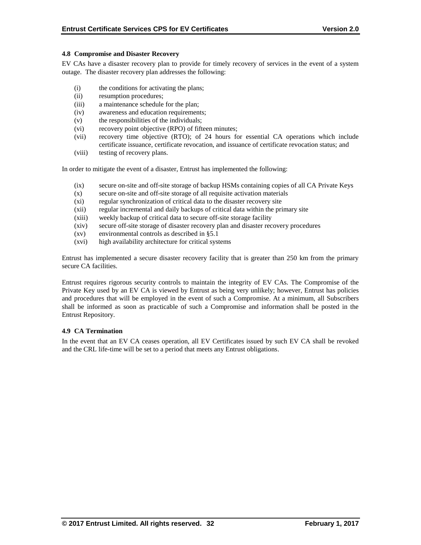#### **4.8 Compromise and Disaster Recovery**

EV CAs have a disaster recovery plan to provide for timely recovery of services in the event of a system outage. The disaster recovery plan addresses the following:

- (i) the conditions for activating the plans;
- (ii) resumption procedures;
- (iii) a maintenance schedule for the plan;
- (iv) awareness and education requirements;
- (v) the responsibilities of the individuals;
- (vi) recovery point objective (RPO) of fifteen minutes;
- (vii) recovery time objective (RTO); of 24 hours for essential CA operations which include certificate issuance, certificate revocation, and issuance of certificate revocation status; and
- (viii) testing of recovery plans.

In order to mitigate the event of a disaster, Entrust has implemented the following:

- (ix) secure on-site and off-site storage of backup HSMs containing copies of all CA Private Keys
- (x) secure on-site and off-site storage of all requisite activation materials
- (xi) regular synchronization of critical data to the disaster recovery site
- (xii) regular incremental and daily backups of critical data within the primary site
- (xiii) weekly backup of critical data to secure off-site storage facility
- (xiv) secure off-site storage of disaster recovery plan and disaster recovery procedures
- (xv) environmental controls as described in §5.1
- (xvi) high availability architecture for critical systems

Entrust has implemented a secure disaster recovery facility that is greater than 250 km from the primary secure CA facilities.

Entrust requires rigorous security controls to maintain the integrity of EV CAs. The Compromise of the Private Key used by an EV CA is viewed by Entrust as being very unlikely; however, Entrust has policies and procedures that will be employed in the event of such a Compromise. At a minimum, all Subscribers shall be informed as soon as practicable of such a Compromise and information shall be posted in the Entrust Repository.

# **4.9 CA Termination**

In the event that an EV CA ceases operation, all EV Certificates issued by such EV CA shall be revoked and the CRL life-time will be set to a period that meets any Entrust obligations.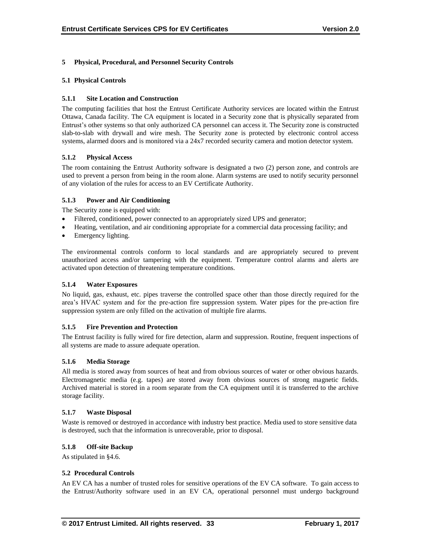# **5 Physical, Procedural, and Personnel Security Controls**

# **5.1 Physical Controls**

## **5.1.1 Site Location and Construction**

The computing facilities that host the Entrust Certificate Authority services are located within the Entrust Ottawa, Canada facility. The CA equipment is located in a Security zone that is physically separated from Entrust's other systems so that only authorized CA personnel can access it. The Security zone is constructed slab-to-slab with drywall and wire mesh. The Security zone is protected by electronic control access systems, alarmed doors and is monitored via a 24x7 recorded security camera and motion detector system.

## **5.1.2 Physical Access**

The room containing the Entrust Authority software is designated a two (2) person zone, and controls are used to prevent a person from being in the room alone. Alarm systems are used to notify security personnel of any violation of the rules for access to an EV Certificate Authority.

## **5.1.3 Power and Air Conditioning**

The Security zone is equipped with:

- Filtered, conditioned, power connected to an appropriately sized UPS and generator;
- Heating, ventilation, and air conditioning appropriate for a commercial data processing facility; and
- Emergency lighting.

The environmental controls conform to local standards and are appropriately secured to prevent unauthorized access and/or tampering with the equipment. Temperature control alarms and alerts are activated upon detection of threatening temperature conditions.

#### **5.1.4 Water Exposures**

No liquid, gas, exhaust, etc. pipes traverse the controlled space other than those directly required for the area's HVAC system and for the pre-action fire suppression system. Water pipes for the pre-action fire suppression system are only filled on the activation of multiple fire alarms.

#### **5.1.5 Fire Prevention and Protection**

The Entrust facility is fully wired for fire detection, alarm and suppression. Routine, frequent inspections of all systems are made to assure adequate operation.

#### **5.1.6 Media Storage**

All media is stored away from sources of heat and from obvious sources of water or other obvious hazards. Electromagnetic media (e.g. tapes) are stored away from obvious sources of strong magnetic fields. Archived material is stored in a room separate from the CA equipment until it is transferred to the archive storage facility.

#### **5.1.7 Waste Disposal**

Waste is removed or destroyed in accordance with industry best practice. Media used to store sensitive data is destroyed, such that the information is unrecoverable, prior to disposal.

#### **5.1.8 Off-site Backup**

As stipulated in §4.6.

#### **5.2 Procedural Controls**

An EV CA has a number of trusted roles for sensitive operations of the EV CA software. To gain access to the Entrust/Authority software used in an EV CA, operational personnel must undergo background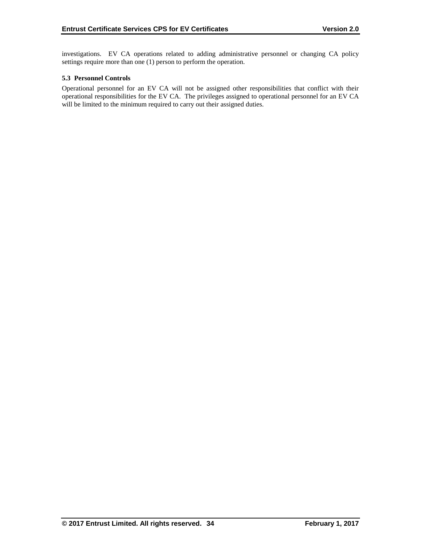investigations. EV CA operations related to adding administrative personnel or changing CA policy settings require more than one (1) person to perform the operation.

## **5.3 Personnel Controls**

Operational personnel for an EV CA will not be assigned other responsibilities that conflict with their operational responsibilities for the EV CA. The privileges assigned to operational personnel for an EV CA will be limited to the minimum required to carry out their assigned duties.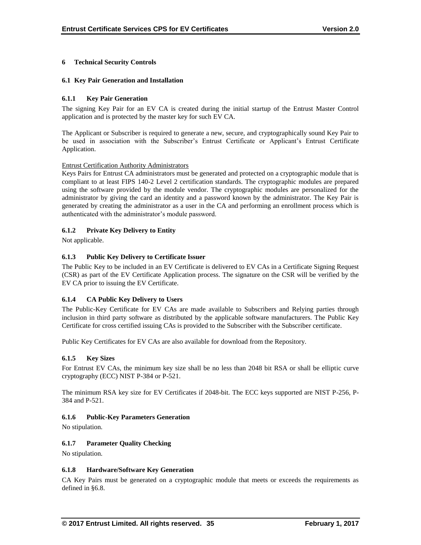# **6 Technical Security Controls**

#### **6.1 Key Pair Generation and Installation**

## **6.1.1 Key Pair Generation**

The signing Key Pair for an EV CA is created during the initial startup of the Entrust Master Control application and is protected by the master key for such EV CA.

The Applicant or Subscriber is required to generate a new, secure, and cryptographically sound Key Pair to be used in association with the Subscriber's Entrust Certificate or Applicant's Entrust Certificate Application.

#### Entrust Certification Authority Administrators

Keys Pairs for Entrust CA administrators must be generated and protected on a cryptographic module that is compliant to at least FIPS 140-2 Level 2 certification standards. The cryptographic modules are prepared using the software provided by the module vendor. The cryptographic modules are personalized for the administrator by giving the card an identity and a password known by the administrator. The Key Pair is generated by creating the administrator as a user in the CA and performing an enrollment process which is authenticated with the administrator's module password.

## **6.1.2 Private Key Delivery to Entity**

Not applicable.

## **6.1.3 Public Key Delivery to Certificate Issuer**

The Public Key to be included in an EV Certificate is delivered to EV CAs in a Certificate Signing Request (CSR) as part of the EV Certificate Application process. The signature on the CSR will be verified by the EV CA prior to issuing the EV Certificate.

#### **6.1.4 CA Public Key Delivery to Users**

The Public-Key Certificate for EV CAs are made available to Subscribers and Relying parties through inclusion in third party software as distributed by the applicable software manufacturers. The Public Key Certificate for cross certified issuing CAs is provided to the Subscriber with the Subscriber certificate.

Public Key Certificates for EV CAs are also available for download from the Repository.

#### **6.1.5 Key Sizes**

For Entrust EV CAs, the minimum key size shall be no less than 2048 bit RSA or shall be elliptic curve cryptography (ECC) NIST P-384 or P-521.

The minimum RSA key size for EV Certificates if 2048-bit. The ECC keys supported are NIST P-256, P-384 and P-521.

#### **6.1.6 Public-Key Parameters Generation**

No stipulation.

#### **6.1.7 Parameter Quality Checking**

No stipulation.

#### **6.1.8 Hardware/Software Key Generation**

CA Key Pairs must be generated on a cryptographic module that meets or exceeds the requirements as defined in §6.8.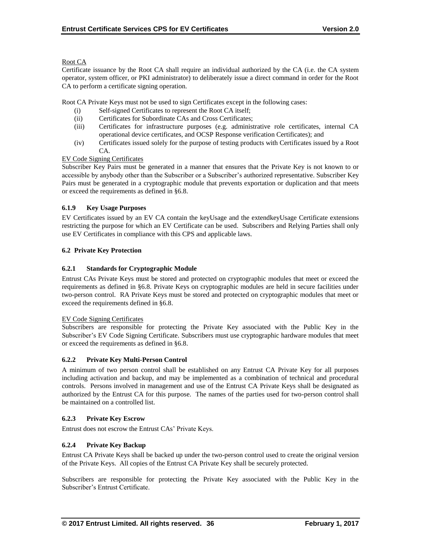# Root CA

Certificate issuance by the Root CA shall require an individual authorized by the CA (i.e. the CA system operator, system officer, or PKI administrator) to deliberately issue a direct command in order for the Root CA to perform a certificate signing operation.

Root CA Private Keys must not be used to sign Certificates except in the following cases:

- (i) Self-signed Certificates to represent the Root CA itself;
- (ii) Certificates for Subordinate CAs and Cross Certificates;
- (iii) Certificates for infrastructure purposes (e.g. administrative role certificates, internal CA operational device certificates, and OCSP Response verification Certificates); and
- (iv) Certificates issued solely for the purpose of testing products with Certificates issued by a Root CA.

# EV Code Signing Certificates

Subscriber Key Pairs must be generated in a manner that ensures that the Private Key is not known to or accessible by anybody other than the Subscriber or a Subscriber's authorized representative. Subscriber Key Pairs must be generated in a cryptographic module that prevents exportation or duplication and that meets or exceed the requirements as defined in §6.8.

## **6.1.9 Key Usage Purposes**

EV Certificates issued by an EV CA contain the keyUsage and the extendkeyUsage Certificate extensions restricting the purpose for which an EV Certificate can be used. Subscribers and Relying Parties shall only use EV Certificates in compliance with this CPS and applicable laws.

## **6.2 Private Key Protection**

# **6.2.1 Standards for Cryptographic Module**

Entrust CAs Private Keys must be stored and protected on cryptographic modules that meet or exceed the requirements as defined in §6.8. Private Keys on cryptographic modules are held in secure facilities under two-person control. RA Private Keys must be stored and protected on cryptographic modules that meet or exceed the requirements defined in §6.8.

#### EV Code Signing Certificates

Subscribers are responsible for protecting the Private Key associated with the Public Key in the Subscriber's EV Code Signing Certificate. Subscribers must use cryptographic hardware modules that meet or exceed the requirements as defined in §6.8.

#### **6.2.2 Private Key Multi-Person Control**

A minimum of two person control shall be established on any Entrust CA Private Key for all purposes including activation and backup, and may be implemented as a combination of technical and procedural controls. Persons involved in management and use of the Entrust CA Private Keys shall be designated as authorized by the Entrust CA for this purpose. The names of the parties used for two-person control shall be maintained on a controlled list.

#### **6.2.3 Private Key Escrow**

Entrust does not escrow the Entrust CAs' Private Keys.

# **6.2.4 Private Key Backup**

Entrust CA Private Keys shall be backed up under the two-person control used to create the original version of the Private Keys. All copies of the Entrust CA Private Key shall be securely protected.

Subscribers are responsible for protecting the Private Key associated with the Public Key in the Subscriber's Entrust Certificate.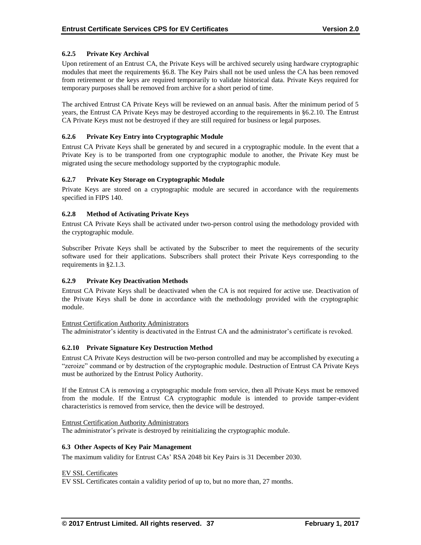# **6.2.5 Private Key Archival**

Upon retirement of an Entrust CA, the Private Keys will be archived securely using hardware cryptographic modules that meet the requirements §6.8. The Key Pairs shall not be used unless the CA has been removed from retirement or the keys are required temporarily to validate historical data. Private Keys required for temporary purposes shall be removed from archive for a short period of time.

The archived Entrust CA Private Keys will be reviewed on an annual basis. After the minimum period of 5 years, the Entrust CA Private Keys may be destroyed according to the requirements in §6.2.10. The Entrust CA Private Keys must not be destroyed if they are still required for business or legal purposes.

## **6.2.6 Private Key Entry into Cryptographic Module**

Entrust CA Private Keys shall be generated by and secured in a cryptographic module. In the event that a Private Key is to be transported from one cryptographic module to another, the Private Key must be migrated using the secure methodology supported by the cryptographic module.

# **6.2.7 Private Key Storage on Cryptographic Module**

Private Keys are stored on a cryptographic module are secured in accordance with the requirements specified in FIPS 140.

## **6.2.8 Method of Activating Private Keys**

Entrust CA Private Keys shall be activated under two-person control using the methodology provided with the cryptographic module.

Subscriber Private Keys shall be activated by the Subscriber to meet the requirements of the security software used for their applications. Subscribers shall protect their Private Keys corresponding to the requirements in §2.1.3.

#### **6.2.9 Private Key Deactivation Methods**

Entrust CA Private Keys shall be deactivated when the CA is not required for active use. Deactivation of the Private Keys shall be done in accordance with the methodology provided with the cryptographic module.

#### Entrust Certification Authority Administrators

The administrator's identity is deactivated in the Entrust CA and the administrator's certificate is revoked.

#### **6.2.10 Private Signature Key Destruction Method**

Entrust CA Private Keys destruction will be two-person controlled and may be accomplished by executing a "zeroize" command or by destruction of the cryptographic module. Destruction of Entrust CA Private Keys must be authorized by the Entrust Policy Authority.

If the Entrust CA is removing a cryptographic module from service, then all Private Keys must be removed from the module. If the Entrust CA cryptographic module is intended to provide tamper-evident characteristics is removed from service, then the device will be destroyed.

#### Entrust Certification Authority Administrators

The administrator's private is destroyed by reinitializing the cryptographic module.

#### **6.3 Other Aspects of Key Pair Management**

The maximum validity for Entrust CAs' RSA 2048 bit Key Pairs is 31 December 2030.

#### EV SSL Certificates

EV SSL Certificates contain a validity period of up to, but no more than, 27 months.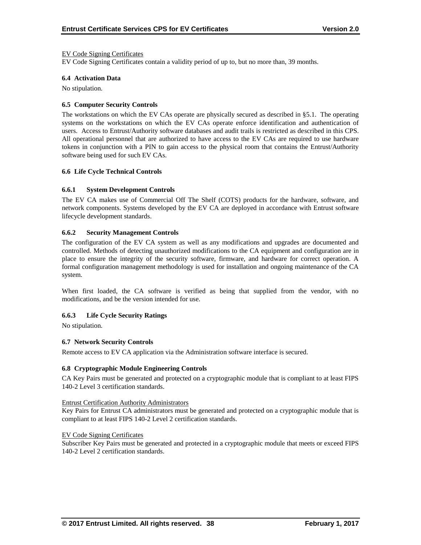#### EV Code Signing Certificates

EV Code Signing Certificates contain a validity period of up to, but no more than, 39 months.

#### **6.4 Activation Data**

No stipulation.

#### **6.5 Computer Security Controls**

The workstations on which the EV CAs operate are physically secured as described in §5.1. The operating systems on the workstations on which the EV CAs operate enforce identification and authentication of users. Access to Entrust/Authority software databases and audit trails is restricted as described in this CPS. All operational personnel that are authorized to have access to the EV CAs are required to use hardware tokens in conjunction with a PIN to gain access to the physical room that contains the Entrust/Authority software being used for such EV CAs.

#### **6.6 Life Cycle Technical Controls**

#### **6.6.1 System Development Controls**

The EV CA makes use of Commercial Off The Shelf (COTS) products for the hardware, software, and network components. Systems developed by the EV CA are deployed in accordance with Entrust software lifecycle development standards.

#### **6.6.2 Security Management Controls**

The configuration of the EV CA system as well as any modifications and upgrades are documented and controlled. Methods of detecting unauthorized modifications to the CA equipment and configuration are in place to ensure the integrity of the security software, firmware, and hardware for correct operation. A formal configuration management methodology is used for installation and ongoing maintenance of the CA system.

When first loaded, the CA software is verified as being that supplied from the vendor, with no modifications, and be the version intended for use.

#### **6.6.3 Life Cycle Security Ratings**

No stipulation.

#### **6.7 Network Security Controls**

Remote access to EV CA application via the Administration software interface is secured.

#### **6.8 Cryptographic Module Engineering Controls**

CA Key Pairs must be generated and protected on a cryptographic module that is compliant to at least FIPS 140-2 Level 3 certification standards.

#### Entrust Certification Authority Administrators

Key Pairs for Entrust CA administrators must be generated and protected on a cryptographic module that is compliant to at least FIPS 140-2 Level 2 certification standards.

#### EV Code Signing Certificates

Subscriber Key Pairs must be generated and protected in a cryptographic module that meets or exceed FIPS 140-2 Level 2 certification standards.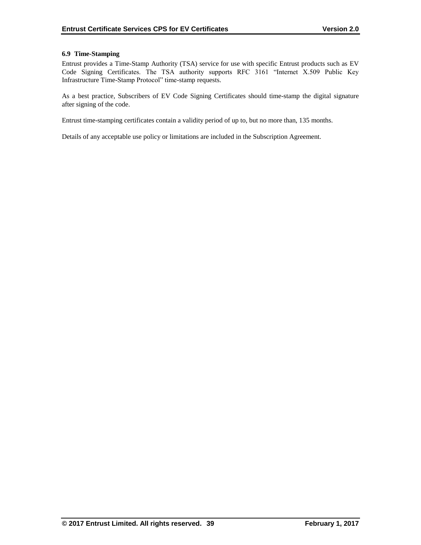## **6.9 Time-Stamping**

Entrust provides a Time-Stamp Authority (TSA) service for use with specific Entrust products such as EV Code Signing Certificates. The TSA authority supports RFC 3161 "Internet X.509 Public Key Infrastructure Time-Stamp Protocol" time-stamp requests.

As a best practice, Subscribers of EV Code Signing Certificates should time-stamp the digital signature after signing of the code.

Entrust time-stamping certificates contain a validity period of up to, but no more than, 135 months.

Details of any acceptable use policy or limitations are included in the Subscription Agreement.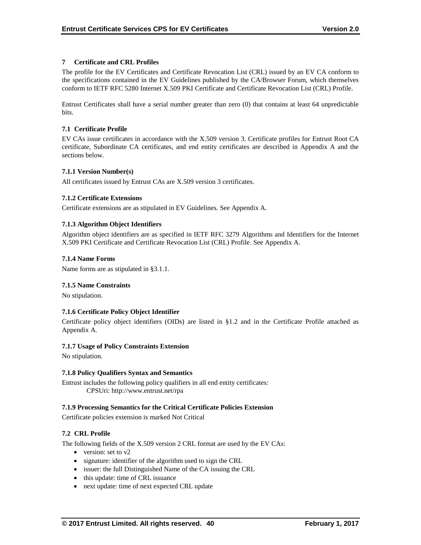# **7 Certificate and CRL Profiles**

The profile for the EV Certificates and Certificate Revocation List (CRL) issued by an EV CA conform to the specifications contained in the EV Guidelines published by the CA/Browser Forum, which themselves conform to IETF RFC 5280 Internet X.509 PKI Certificate and Certificate Revocation List (CRL) Profile.

Entrust Certificates shall have a serial number greater than zero (0) that contains at least 64 unpredictable bits.

## **7.1 Certificate Profile**

EV CAs issue certificates in accordance with the X.509 version 3. Certificate profiles for Entrust Root CA certificate, Subordinate CA certificates, and end entity certificates are described in Appendix A and the sections below.

#### **7.1.1 Version Number(s)**

All certificates issued by Entrust CAs are X.509 version 3 certificates.

## **7.1.2 Certificate Extensions**

Certificate extensions are as stipulated in EV Guidelines. See Appendix A.

## **7.1.3 Algorithm Object Identifiers**

Algorithm object identifiers are as specified in IETF RFC 3279 Algorithms and Identifiers for the Internet X.509 PKI Certificate and Certificate Revocation List (CRL) Profile. See Appendix A.

#### **7.1.4 Name Forms**

Name forms are as stipulated in §3.1.1.

#### **7.1.5 Name Constraints**

No stipulation.

#### **7.1.6 Certificate Policy Object Identifier**

Certificate policy object identifiers (OIDs) are listed in §1.2 and in the Certificate Profile attached as Appendix A.

#### **7.1.7 Usage of Policy Constraints Extension**

No stipulation.

#### **7.1.8 Policy Qualifiers Syntax and Semantics**

Entrust includes the following policy qualifiers in all end entity certificates: CPSUri: http://www.entrust.net/rpa

#### **7.1.9 Processing Semantics for the Critical Certificate Policies Extension**

Certificate policies extension is marked Not Critical

#### **7.2 CRL Profile**

The following fields of the X.509 version 2 CRL format are used by the EV CAs:

- version: set to  $v2$
- signature: identifier of the algorithm used to sign the CRL
- issuer: the full Distinguished Name of the CA issuing the CRL
- this update: time of CRL issuance
- next update: time of next expected CRL update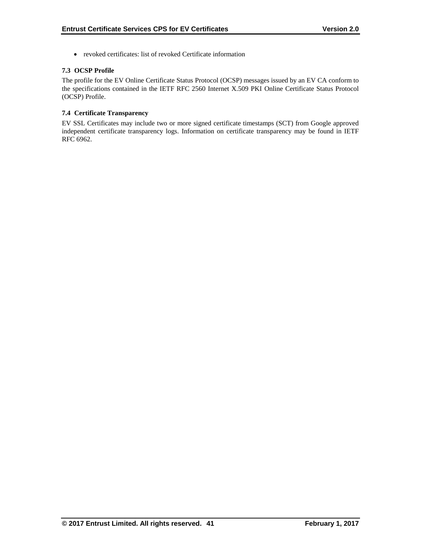revoked certificates: list of revoked Certificate information

# **7.3 OCSP Profile**

The profile for the EV Online Certificate Status Protocol (OCSP) messages issued by an EV CA conform to the specifications contained in the IETF RFC 2560 Internet X.509 PKI Online Certificate Status Protocol (OCSP) Profile.

# **7.4 Certificate Transparency**

EV SSL Certificates may include two or more signed certificate timestamps (SCT) from Google approved independent certificate transparency logs. Information on certificate transparency may be found in IETF RFC 6962.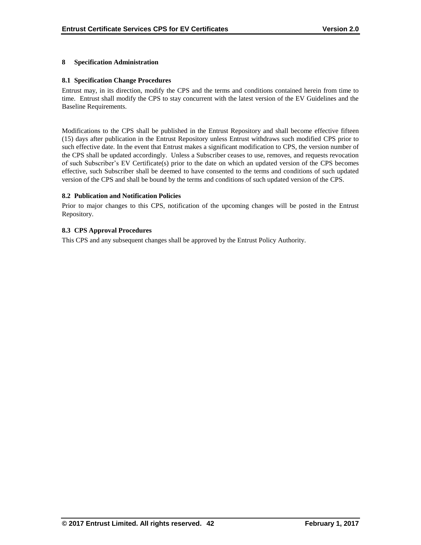#### **8 Specification Administration**

#### **8.1 Specification Change Procedures**

Entrust may, in its direction, modify the CPS and the terms and conditions contained herein from time to time. Entrust shall modify the CPS to stay concurrent with the latest version of the EV Guidelines and the Baseline Requirements.

Modifications to the CPS shall be published in the Entrust Repository and shall become effective fifteen (15) days after publication in the Entrust Repository unless Entrust withdraws such modified CPS prior to such effective date. In the event that Entrust makes a significant modification to CPS, the version number of the CPS shall be updated accordingly. Unless a Subscriber ceases to use, removes, and requests revocation of such Subscriber's EV Certificate(s) prior to the date on which an updated version of the CPS becomes effective, such Subscriber shall be deemed to have consented to the terms and conditions of such updated version of the CPS and shall be bound by the terms and conditions of such updated version of the CPS.

#### **8.2 Publication and Notification Policies**

Prior to major changes to this CPS, notification of the upcoming changes will be posted in the Entrust Repository.

#### **8.3 CPS Approval Procedures**

This CPS and any subsequent changes shall be approved by the Entrust Policy Authority.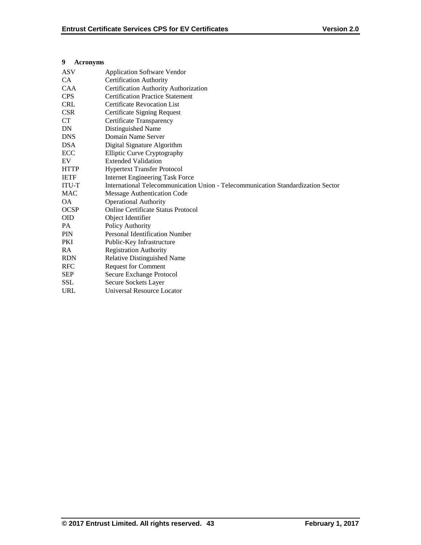## **9 Acronyms**

| <b>ASV</b>   | <b>Application Software Vendor</b>                                               |
|--------------|----------------------------------------------------------------------------------|
| CA.          | <b>Certification Authority</b>                                                   |
| <b>CAA</b>   | Certification Authority Authorization                                            |
| <b>CPS</b>   | <b>Certification Practice Statement</b>                                          |
| <b>CRL</b>   | <b>Certificate Revocation List</b>                                               |
| <b>CSR</b>   | Certificate Signing Request                                                      |
| CT           | Certificate Transparency                                                         |
| DN           | Distinguished Name                                                               |
| <b>DNS</b>   | Domain Name Server                                                               |
| <b>DSA</b>   | Digital Signature Algorithm                                                      |
| ECC          | <b>Elliptic Curve Cryptography</b>                                               |
| EV           | <b>Extended Validation</b>                                                       |
| <b>HTTP</b>  | <b>Hypertext Transfer Protocol</b>                                               |
| <b>IETF</b>  | <b>Internet Engineering Task Force</b>                                           |
| <b>ITU-T</b> | International Telecommunication Union - Telecommunication Standardization Sector |
| <b>MAC</b>   | Message Authentication Code                                                      |
| <b>OA</b>    | <b>Operational Authority</b>                                                     |
| <b>OCSP</b>  | <b>Online Certificate Status Protocol</b>                                        |
| <b>OID</b>   | Object Identifier                                                                |
| PA           | Policy Authority                                                                 |
| PIN          | <b>Personal Identification Number</b>                                            |
| <b>PKI</b>   | Public-Key Infrastructure                                                        |
| RA           | <b>Registration Authority</b>                                                    |
| <b>RDN</b>   | Relative Distinguished Name                                                      |
| <b>RFC</b>   | <b>Request for Comment</b>                                                       |
| <b>SEP</b>   | Secure Exchange Protocol                                                         |
| <b>SSL</b>   | Secure Sockets Layer                                                             |
| <b>URL</b>   | Universal Resource Locator                                                       |
|              |                                                                                  |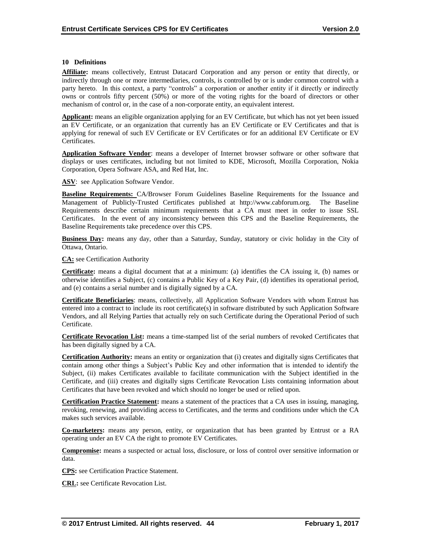#### **10 Definitions**

**Affiliate:** means collectively, Entrust Datacard Corporation and any person or entity that directly, or indirectly through one or more intermediaries, controls, is controlled by or is under common control with a party hereto. In this context, a party "controls" a corporation or another entity if it directly or indirectly owns or controls fifty percent (50%) or more of the voting rights for the board of directors or other mechanism of control or, in the case of a non-corporate entity, an equivalent interest.

**Applicant:** means an eligible organization applying for an EV Certificate, but which has not yet been issued an EV Certificate, or an organization that currently has an EV Certificate or EV Certificates and that is applying for renewal of such EV Certificate or EV Certificates or for an additional EV Certificate or EV Certificates.

**Application Software Vendor**: means a developer of Internet browser software or other software that displays or uses certificates, including but not limited to KDE, Microsoft, Mozilla Corporation, Nokia Corporation, Opera Software ASA, and Red Hat, Inc.

ASV: see Application Software Vendor.

**Baseline Requirements:** CA/Browser Forum Guidelines Baseline Requirements for the Issuance and Management of Publicly-Trusted Certificates published at http://www.cabforum.org. The Baseline Requirements describe certain minimum requirements that a CA must meet in order to issue SSL Certificates. In the event of any inconsistency between this CPS and the Baseline Requirements, the Baseline Requirements take precedence over this CPS.

**Business Day:** means any day, other than a Saturday, Sunday, statutory or civic holiday in the City of Ottawa, Ontario.

**CA:** see Certification Authority

**Certificate:** means a digital document that at a minimum: (a) identifies the CA issuing it, (b) names or otherwise identifies a Subject, (c) contains a Public Key of a Key Pair, (d) identifies its operational period, and (e) contains a serial number and is digitally signed by a CA.

**Certificate Beneficiaries**: means, collectively, all Application Software Vendors with whom Entrust has entered into a contract to include its root certificate(s) in software distributed by such Application Software Vendors, and all Relying Parties that actually rely on such Certificate during the Operational Period of such Certificate.

**Certificate Revocation List:** means a time-stamped list of the serial numbers of revoked Certificates that has been digitally signed by a CA.

**Certification Authority:** means an entity or organization that (i) creates and digitally signs Certificates that contain among other things a Subject's Public Key and other information that is intended to identify the Subject, (ii) makes Certificates available to facilitate communication with the Subject identified in the Certificate, and (iii) creates and digitally signs Certificate Revocation Lists containing information about Certificates that have been revoked and which should no longer be used or relied upon.

**Certification Practice Statement:** means a statement of the practices that a CA uses in issuing, managing, revoking, renewing, and providing access to Certificates, and the terms and conditions under which the CA makes such services available.

**Co-marketers:** means any person, entity, or organization that has been granted by Entrust or a RA operating under an EV CA the right to promote EV Certificates.

**Compromise:** means a suspected or actual loss, disclosure, or loss of control over sensitive information or data.

**CPS:** see Certification Practice Statement.

**CRL:** see Certificate Revocation List.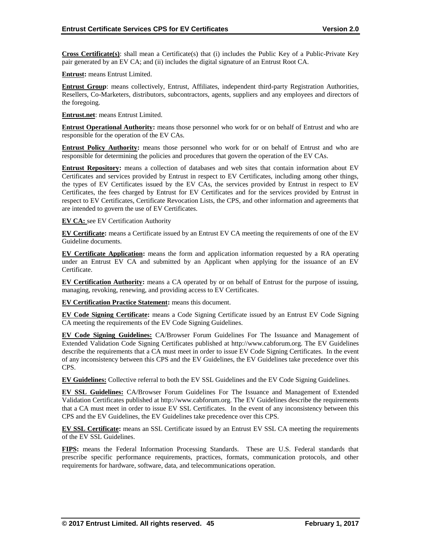**Cross Certificate(s)**: shall mean a Certificate(s) that (i) includes the Public Key of a Public-Private Key pair generated by an EV CA; and (ii) includes the digital signature of an Entrust Root CA.

**Entrust:** means Entrust Limited.

**Entrust Group**: means collectively, Entrust, Affiliates, independent third-party Registration Authorities, Resellers, Co-Marketers, distributors, subcontractors, agents, suppliers and any employees and directors of the foregoing.

**Entrust.net**: means Entrust Limited.

**Entrust Operational Authority:** means those personnel who work for or on behalf of Entrust and who are responsible for the operation of the EV CAs.

**Entrust Policy Authority:** means those personnel who work for or on behalf of Entrust and who are responsible for determining the policies and procedures that govern the operation of the EV CAs.

**Entrust Repository:** means a collection of databases and web sites that contain information about EV Certificates and services provided by Entrust in respect to EV Certificates, including among other things, the types of EV Certificates issued by the EV CAs, the services provided by Entrust in respect to EV Certificates, the fees charged by Entrust for EV Certificates and for the services provided by Entrust in respect to EV Certificates, Certificate Revocation Lists, the CPS, and other information and agreements that are intended to govern the use of EV Certificates.

**EV CA:** see EV Certification Authority

**EV Certificate:** means a Certificate issued by an Entrust EV CA meeting the requirements of one of the EV Guideline documents.

**EV Certificate Application:** means the form and application information requested by a RA operating under an Entrust EV CA and submitted by an Applicant when applying for the issuance of an EV Certificate.

**EV Certification Authority:** means a CA operated by or on behalf of Entrust for the purpose of issuing, managing, revoking, renewing, and providing access to EV Certificates.

**EV Certification Practice Statement:** means this document.

**EV Code Signing Certificate:** means a Code Signing Certificate issued by an Entrust EV Code Signing CA meeting the requirements of the EV Code Signing Guidelines.

**EV Code Signing Guidelines:** CA/Browser Forum Guidelines For The Issuance and Management of Extended Validation Code Signing Certificates published at http://www.cabforum.org. The EV Guidelines describe the requirements that a CA must meet in order to issue EV Code Signing Certificates. In the event of any inconsistency between this CPS and the EV Guidelines, the EV Guidelines take precedence over this CPS.

**EV Guidelines:** Collective referral to both the EV SSL Guidelines and the EV Code Signing Guidelines.

**EV SSL Guidelines:** CA/Browser Forum Guidelines For The Issuance and Management of Extended Validation Certificates published at http://www.cabforum.org. The EV Guidelines describe the requirements that a CA must meet in order to issue EV SSL Certificates. In the event of any inconsistency between this CPS and the EV Guidelines, the EV Guidelines take precedence over this CPS.

**EV SSL Certificate:** means an SSL Certificate issued by an Entrust EV SSL CA meeting the requirements of the EV SSL Guidelines.

**FIPS:** means the Federal Information Processing Standards. These are U.S. Federal standards that prescribe specific performance requirements, practices, formats, communication protocols, and other requirements for hardware, software, data, and telecommunications operation.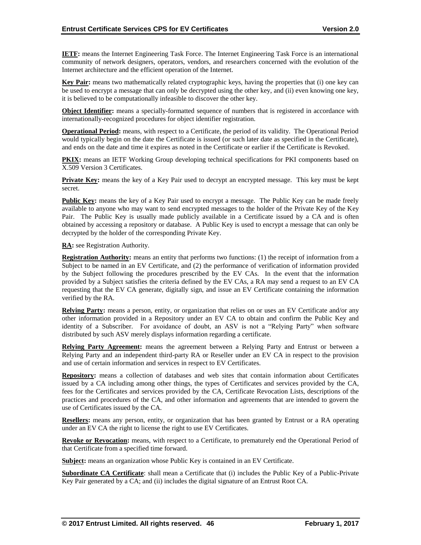**IETF:** means the Internet Engineering Task Force. The Internet Engineering Task Force is an international community of network designers, operators, vendors, and researchers concerned with the evolution of the Internet architecture and the efficient operation of the Internet.

**Key Pair:** means two mathematically related cryptographic keys, having the properties that (i) one key can be used to encrypt a message that can only be decrypted using the other key, and (ii) even knowing one key, it is believed to be computationally infeasible to discover the other key.

**Object Identifier:** means a specially-formatted sequence of numbers that is registered in accordance with internationally-recognized procedures for object identifier registration.

**Operational Period:** means, with respect to a Certificate, the period of its validity. The Operational Period would typically begin on the date the Certificate is issued (or such later date as specified in the Certificate), and ends on the date and time it expires as noted in the Certificate or earlier if the Certificate is Revoked.

**PKIX:** means an IETF Working Group developing technical specifications for PKI components based on X.509 Version 3 Certificates.

**Private Key:** means the key of a Key Pair used to decrypt an encrypted message. This key must be kept secret.

**Public Key:** means the key of a Key Pair used to encrypt a message. The Public Key can be made freely available to anyone who may want to send encrypted messages to the holder of the Private Key of the Key Pair. The Public Key is usually made publicly available in a Certificate issued by a CA and is often obtained by accessing a repository or database. A Public Key is used to encrypt a message that can only be decrypted by the holder of the corresponding Private Key.

**RA:** see Registration Authority.

**Registration Authority:** means an entity that performs two functions: (1) the receipt of information from a Subject to be named in an EV Certificate, and (2) the performance of verification of information provided by the Subject following the procedures prescribed by the EV CAs. In the event that the information provided by a Subject satisfies the criteria defined by the EV CAs, a RA may send a request to an EV CA requesting that the EV CA generate, digitally sign, and issue an EV Certificate containing the information verified by the RA.

**Relying Party:** means a person, entity, or organization that relies on or uses an EV Certificate and/or any other information provided in a Repository under an EV CA to obtain and confirm the Public Key and identity of a Subscriber. For avoidance of doubt, an ASV is not a "Relying Party" when software distributed by such ASV merely displays information regarding a certificate.

**Relying Party Agreement:** means the agreement between a Relying Party and Entrust or between a Relying Party and an independent third-party RA or Reseller under an EV CA in respect to the provision and use of certain information and services in respect to EV Certificates.

**Repository:** means a collection of databases and web sites that contain information about Certificates issued by a CA including among other things, the types of Certificates and services provided by the CA, fees for the Certificates and services provided by the CA, Certificate Revocation Lists, descriptions of the practices and procedures of the CA, and other information and agreements that are intended to govern the use of Certificates issued by the CA.

**Resellers:** means any person, entity, or organization that has been granted by Entrust or a RA operating under an EV CA the right to license the right to use EV Certificates.

**Revoke or Revocation:** means, with respect to a Certificate, to prematurely end the Operational Period of that Certificate from a specified time forward.

**Subject:** means an organization whose Public Key is contained in an EV Certificate.

**Subordinate CA Certificate**: shall mean a Certificate that (i) includes the Public Key of a Public-Private Key Pair generated by a CA; and (ii) includes the digital signature of an Entrust Root CA.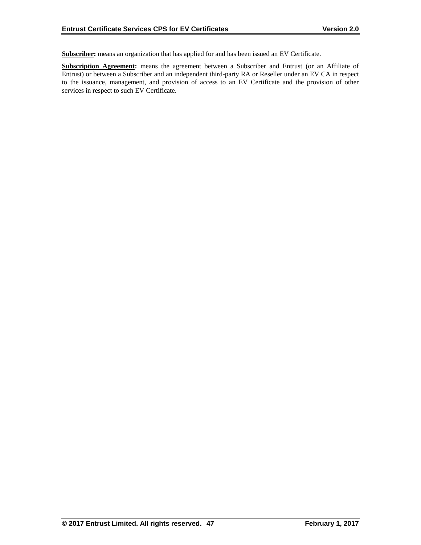**Subscriber:** means an organization that has applied for and has been issued an EV Certificate.

**Subscription Agreement:** means the agreement between a Subscriber and Entrust (or an Affiliate of Entrust) or between a Subscriber and an independent third-party RA or Reseller under an EV CA in respect to the issuance, management, and provision of access to an EV Certificate and the provision of other services in respect to such EV Certificate.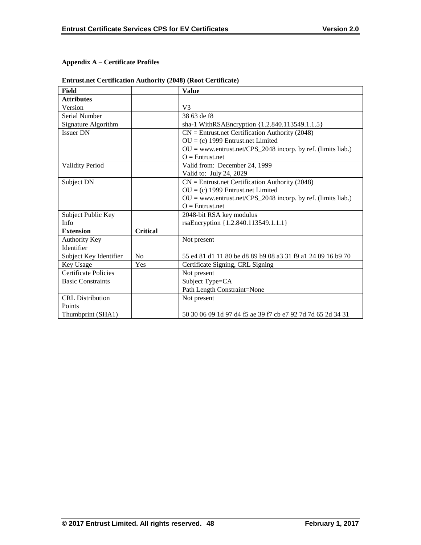# **Appendix A – Certificate Profiles**

| Field                       |                 | <b>Value</b>                                                   |
|-----------------------------|-----------------|----------------------------------------------------------------|
| <b>Attributes</b>           |                 |                                                                |
| Version                     |                 | V <sub>3</sub>                                                 |
| Serial Number               |                 | 38 63 de f8                                                    |
| Signature Algorithm         |                 | sha-1 WithRSAEncryption {1.2.840.113549.1.1.5}                 |
| <b>Issuer DN</b>            |                 | $CN =$ Entrust.net Certification Authority (2048)              |
|                             |                 | $OU = (c)$ 1999 Entrust.net Limited                            |
|                             |                 | $OU = www.entrust.net/CPS_2048 incorp. by ref. (limits liab.)$ |
|                             |                 | $O =$ Entrust.net                                              |
| <b>Validity Period</b>      |                 | Valid from: December 24, 1999                                  |
|                             |                 | Valid to: July 24, 2029                                        |
| Subject DN                  |                 | $CN =$ Entrust.net Certification Authority (2048)              |
|                             |                 | $OU = (c)$ 1999 Entrust.net Limited                            |
|                             |                 | $OU = www.entrust.net/CPS_2048 incorp. by ref. (limits liab.)$ |
|                             |                 | $Q =$ Entrust.net                                              |
| Subject Public Key          |                 | 2048-bit RSA key modulus                                       |
| Info                        |                 | rsaEncryption {1.2.840.113549.1.1.1}                           |
| <b>Extension</b>            | <b>Critical</b> |                                                                |
| <b>Authority Key</b>        |                 | Not present                                                    |
| Identifier                  |                 |                                                                |
| Subject Key Identifier      | No              | 55 e4 81 d1 11 80 be d8 89 b9 08 a3 31 f9 a1 24 09 16 b9 70    |
| Key Usage                   | Yes             | Certificate Signing, CRL Signing                               |
| <b>Certificate Policies</b> |                 | Not present                                                    |
| <b>Basic Constraints</b>    |                 | Subject Type=CA                                                |
|                             |                 | Path Length Constraint=None                                    |
| <b>CRL</b> Distribution     |                 | Not present                                                    |
| Points                      |                 |                                                                |
| Thumbprint (SHA1)           |                 | 50 30 06 09 1d 97 d4 f5 ae 39 f7 cb e7 92 7d 7d 65 2d 34 31    |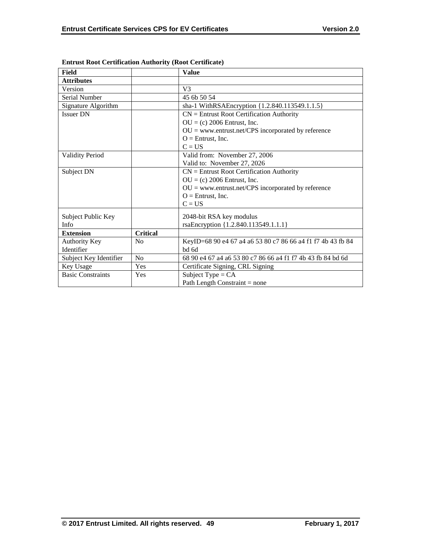| <b>Field</b>                       |                 | <b>Value</b>                                                         |
|------------------------------------|-----------------|----------------------------------------------------------------------|
| <b>Attributes</b>                  |                 |                                                                      |
| Version                            |                 | V <sub>3</sub>                                                       |
| Serial Number                      |                 | 45 6b 50 54                                                          |
| Signature Algorithm                |                 | sha-1 WithRSAEncryption {1.2.840.113549.1.1.5}                       |
| <b>Issuer DN</b>                   |                 | $CN =$ Entrust Root Certification Authority                          |
|                                    |                 | $OU = (c) 2006$ Entrust, Inc.                                        |
|                                    |                 | $OU =$ www.entrust.net/CPS incorporated by reference                 |
|                                    |                 | $O =$ Entrust, Inc.                                                  |
|                                    |                 | $C = US$                                                             |
| <b>Validity Period</b>             |                 | Valid from: November 27, 2006                                        |
|                                    |                 | Valid to: November 27, 2026                                          |
| Subject DN                         |                 | $CN =$ Entrust Root Certification Authority                          |
|                                    |                 | $OU = (c) 2006$ Entrust, Inc.                                        |
|                                    |                 | $OU =$ www.entrust.net/CPS incorporated by reference                 |
|                                    |                 | $O =$ Entrust, Inc.                                                  |
|                                    |                 | $C = US$                                                             |
| Subject Public Key                 |                 | 2048-bit RSA key modulus                                             |
| <b>Info</b>                        |                 | rsaEncryption {1.2.840.113549.1.1.1}                                 |
| <b>Extension</b>                   | <b>Critical</b> |                                                                      |
|                                    | N <sub>0</sub>  |                                                                      |
| <b>Authority Key</b><br>Identifier |                 | KeyID=68 90 e4 67 a4 a6 53 80 c7 86 66 a4 f1 f7 4b 43 fb 84<br>bd 6d |
|                                    |                 |                                                                      |
| Subject Key Identifier             | N <sub>0</sub>  | 68 90 e4 67 a4 a6 53 80 c7 86 66 a4 f1 f7 4b 43 fb 84 bd 6d          |
| Key Usage                          | Yes             | Certificate Signing, CRL Signing                                     |
| <b>Basic Constraints</b>           | Yes             | Subject Type = $CA$                                                  |
|                                    |                 | Path Length Constraint $=$ none                                      |

**Entrust Root Certification Authority (Root Certificate)**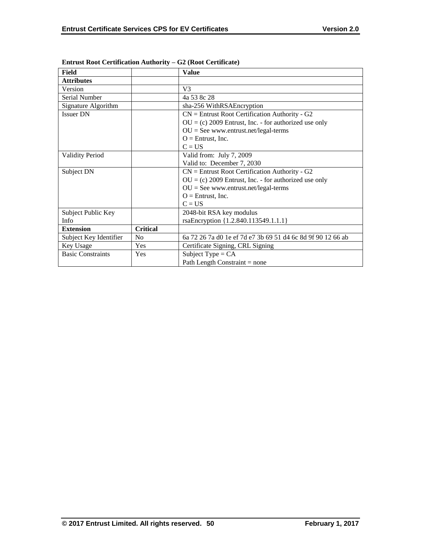| Field                    |                 | <b>Value</b>                                                |
|--------------------------|-----------------|-------------------------------------------------------------|
| <b>Attributes</b>        |                 |                                                             |
| Version                  |                 | V <sub>3</sub>                                              |
| Serial Number            |                 | 4a 53 8c 28                                                 |
| Signature Algorithm      |                 | sha-256 WithRSAEncryption                                   |
| <b>Issuer DN</b>         |                 | $CN =$ Entrust Root Certification Authority - G2            |
|                          |                 | $OU = (c) 2009$ Entrust, Inc. - for authorized use only     |
|                          |                 | $OU = See$ www.entrust.net/legal-terms                      |
|                          |                 | $O =$ Entrust, Inc.                                         |
|                          |                 | $C = US$                                                    |
| <b>Validity Period</b>   |                 | Valid from: July 7, 2009                                    |
|                          |                 | Valid to: December 7, 2030                                  |
| Subject DN               |                 | $CN =$ Entrust Root Certification Authority - G2            |
|                          |                 | $OU = (c) 2009$ Entrust, Inc. - for authorized use only     |
|                          |                 | $OU = See$ www.entrust.net/legal-terms                      |
|                          |                 | $O =$ Entrust, Inc.                                         |
|                          |                 | $C = US$                                                    |
| Subject Public Key       |                 | 2048-bit RSA key modulus                                    |
| Info                     |                 | rsaEncryption {1.2.840.113549.1.1.1}                        |
| <b>Extension</b>         | <b>Critical</b> |                                                             |
| Subject Key Identifier   | N <sub>o</sub>  | 6a 72 26 7a d0 1e ef 7d e7 3b 69 51 d4 6c 8d 9f 90 12 66 ab |
| Key Usage                | Yes             | Certificate Signing, CRL Signing                            |
| <b>Basic Constraints</b> | Yes             | Subject Type = $CA$                                         |
|                          |                 | Path Length Constraint $=$ none                             |

**Entrust Root Certification Authority – G2 (Root Certificate)**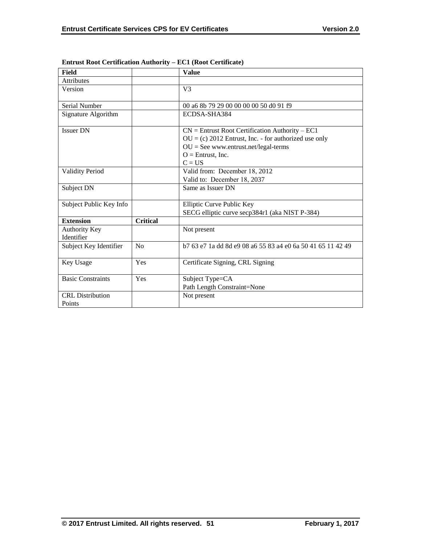| Field                              |                 | <b>Value</b>                                                                                                                                                                              |
|------------------------------------|-----------------|-------------------------------------------------------------------------------------------------------------------------------------------------------------------------------------------|
| <b>Attributes</b>                  |                 |                                                                                                                                                                                           |
| Version                            |                 | V <sub>3</sub>                                                                                                                                                                            |
| Serial Number                      |                 | 00 a6 8b 79 29 00 00 00 00 50 d0 91 f9                                                                                                                                                    |
| Signature Algorithm                |                 | ECDSA-SHA384                                                                                                                                                                              |
| <b>Issuer DN</b>                   |                 | $CN =$ Entrust Root Certification Authority – EC1<br>$OU = (c) 2012$ Entrust, Inc. - for authorized use only<br>$OU = See$ www.entrust.net/legal-terms<br>$O =$ Entrust, Inc.<br>$C = US$ |
| <b>Validity Period</b>             |                 | Valid from: December 18, 2012<br>Valid to: December 18, 2037                                                                                                                              |
| Subject DN                         |                 | Same as Issuer DN                                                                                                                                                                         |
| Subject Public Key Info            |                 | Elliptic Curve Public Key<br>SECG elliptic curve secp384r1 (aka NIST P-384)                                                                                                               |
| <b>Extension</b>                   | <b>Critical</b> |                                                                                                                                                                                           |
| <b>Authority Key</b><br>Identifier |                 | Not present                                                                                                                                                                               |
| Subject Key Identifier             | N <sub>0</sub>  | b 7 63 e 7 1 a dd 8d e 9 08 a 6 5 5 8 3 a 4 e 0 6 a 5 0 4 1 6 5 1 1 4 2 4 9                                                                                                               |
| Key Usage                          | Yes             | Certificate Signing, CRL Signing                                                                                                                                                          |
| <b>Basic Constraints</b>           | Yes             | Subject Type=CA<br>Path Length Constraint=None                                                                                                                                            |
| <b>CRL</b> Distribution<br>Points  |                 | Not present                                                                                                                                                                               |

# **Entrust Root Certification Authority – EC1 (Root Certificate)**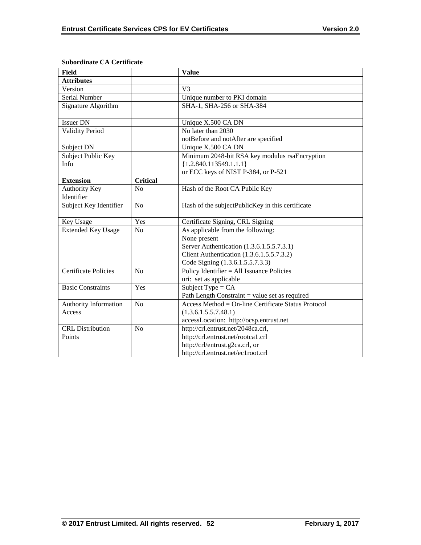| <b>Field</b>                |                 | <b>Value</b>                                        |
|-----------------------------|-----------------|-----------------------------------------------------|
| <b>Attributes</b>           |                 |                                                     |
| Version                     |                 | V <sub>3</sub>                                      |
| <b>Serial Number</b>        |                 | Unique number to PKI domain                         |
| Signature Algorithm         |                 | SHA-1, SHA-256 or SHA-384                           |
| Issuer DN                   |                 | Unique X.500 CA DN                                  |
| <b>Validity Period</b>      |                 | No later than 2030                                  |
|                             |                 | notBefore and notAfter are specified                |
| Subject DN                  |                 | Unique X.500 CA DN                                  |
| Subject Public Key          |                 | Minimum 2048-bit RSA key modulus rsaEncryption      |
| Info                        |                 | ${1.2.840.113549.1.1.1}$                            |
|                             |                 | or ECC keys of NIST P-384, or P-521                 |
| <b>Extension</b>            | <b>Critical</b> |                                                     |
| Authority Key               | N <sub>o</sub>  | Hash of the Root CA Public Key                      |
| Identifier                  |                 |                                                     |
| Subject Key Identifier      | N <sub>o</sub>  | Hash of the subjectPublicKey in this certificate    |
| Key Usage                   | Yes             | Certificate Signing, CRL Signing                    |
| <b>Extended Key Usage</b>   | N <sub>o</sub>  | As applicable from the following:                   |
|                             |                 | None present                                        |
|                             |                 | Server Authentication (1.3.6.1.5.5.7.3.1)           |
|                             |                 | Client Authentication (1.3.6.1.5.5.7.3.2)           |
|                             |                 | Code Signing (1.3.6.1.5.5.7.3.3)                    |
| <b>Certificate Policies</b> | N <sub>o</sub>  | Policy Identifier = All Issuance Policies           |
|                             |                 | uri: set as applicable                              |
| <b>Basic Constraints</b>    | Yes             | Subject Type = $CA$                                 |
|                             |                 | Path Length Constraint = value set as required      |
| Authority Information       | N <sub>o</sub>  | Access Method = On-line Certificate Status Protocol |
| Access                      |                 | (1.3.6.1.5.5.7.48.1)                                |
|                             |                 | accessLocation: http://ocsp.entrust.net             |
| <b>CRL</b> Distribution     | N <sub>o</sub>  | http://crl.entrust.net/2048ca.crl,                  |
| Points                      |                 | http://crl.entrust.net/rootca1.crl                  |
|                             |                 | http://crl/entrust.g2ca.crl, or                     |
|                             |                 | http://crl.entrust.net/ec1root.crl                  |

## **Subordinate CA Certificate**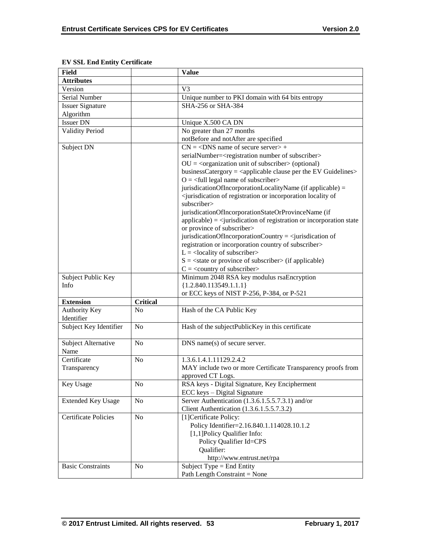| <b>Field</b>                |                 | <b>Value</b>                                                                                          |
|-----------------------------|-----------------|-------------------------------------------------------------------------------------------------------|
| <b>Attributes</b>           |                 |                                                                                                       |
| Version                     |                 | V <sub>3</sub>                                                                                        |
| Serial Number               |                 | Unique number to PKI domain with 64 bits entropy                                                      |
| <b>Issuer Signature</b>     |                 | SHA-256 or SHA-384                                                                                    |
| Algorithm                   |                 |                                                                                                       |
| <b>Issuer DN</b>            |                 | Unique X.500 CA DN                                                                                    |
| <b>Validity Period</b>      |                 | No greater than 27 months                                                                             |
|                             |                 | notBefore and notAfter are specified                                                                  |
| Subject DN                  |                 | $CN = <$ DNS name of secure server $> +$                                                              |
|                             |                 | serialNumber= <registration number="" of="" subscriber=""></registration>                             |
|                             |                 | $OU = corganization unit of subscripter > (optional)$                                                 |
|                             |                 | businessCatergory = $\langle$ applicable clause per the EV Guidelines $>$                             |
|                             |                 | $O = \left\langle \text{full legal name of subscripter} \right\rangle$                                |
|                             |                 | jurisdicationOfIncorporationLocalityName (if applicable) =                                            |
|                             |                 | <jurisdication incorporation="" locality="" of="" of<="" or="" registration="" td=""></jurisdication> |
|                             |                 | subscriber>                                                                                           |
|                             |                 | jurisdicationOfIncorporationStateOrProvinceName (if                                                   |
|                             |                 | $applicable) = \langle$ jurisdication of registration or incorporation state                          |
|                             |                 | or province of subscriber>                                                                            |
|                             |                 | jurisdicationOfIncorporationCountry = $\le$ jurisdication of                                          |
|                             |                 | registration or incorporation country of subscriber>                                                  |
|                             |                 | $L =$ <locality of="" subscriber=""></locality>                                                       |
|                             |                 | $S = \text{state}$ or province of subscriber $\text{in}$ (if applicable)                              |
|                             |                 | $C = \langle$ country of subscriber>                                                                  |
| Subject Public Key          |                 | Minimum 2048 RSA key modulus rsaEncryption                                                            |
| Info                        |                 | ${1.2.840.113549.1.1.1}$                                                                              |
|                             |                 | or ECC keys of NIST P-256, P-384, or P-521                                                            |
| <b>Extension</b>            | <b>Critical</b> |                                                                                                       |
| Authority Key               | N <sub>0</sub>  | Hash of the CA Public Key                                                                             |
| Identifier                  |                 |                                                                                                       |
| Subject Key Identifier      | N <sub>0</sub>  | Hash of the subjectPublicKey in this certificate                                                      |
|                             |                 |                                                                                                       |
| Subject Alternative         | N <sub>0</sub>  | DNS name(s) of secure server.                                                                         |
| Name                        |                 |                                                                                                       |
| Certificate                 | No              | 1.3.6.1.4.1.11129.2.4.2                                                                               |
| Transparency                |                 | MAY include two or more Certificate Transparency proofs from                                          |
|                             |                 | approved CT Logs.                                                                                     |
| Key Usage                   | N <sub>0</sub>  | RSA keys - Digital Signature, Key Encipherment                                                        |
|                             |                 | ECC keys - Digital Signature                                                                          |
| <b>Extended Key Usage</b>   | N <sub>0</sub>  | Server Authentication (1.3.6.1.5.5.7.3.1) and/or                                                      |
|                             |                 | Client Authentication (1.3.6.1.5.5.7.3.2)                                                             |
|                             |                 |                                                                                                       |
| <b>Certificate Policies</b> | N <sub>0</sub>  | [1]Certificate Policy:                                                                                |
|                             |                 | Policy Identifier=2.16.840.1.114028.10.1.2                                                            |
|                             |                 | [1,1] Policy Qualifier Info:                                                                          |
|                             |                 | Policy Qualifier Id=CPS                                                                               |
|                             |                 | Qualifier:                                                                                            |
|                             |                 | http://www.entrust.net/rpa                                                                            |
| <b>Basic Constraints</b>    | N <sub>0</sub>  | Subject Type = End Entity                                                                             |
|                             |                 | Path Length Constraint = None                                                                         |

## **EV SSL End Entity Certificate**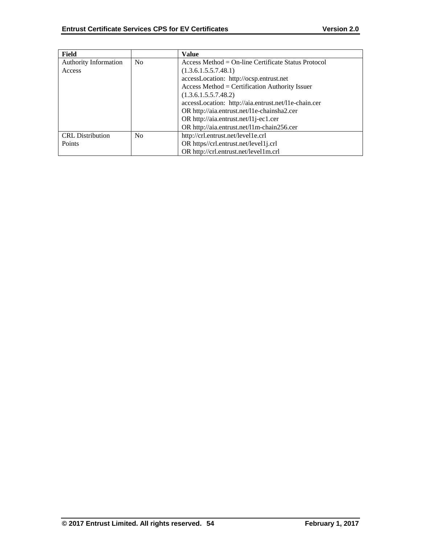| Field                        |                | Value                                                |
|------------------------------|----------------|------------------------------------------------------|
| <b>Authority Information</b> | N <sub>0</sub> | $Access Method = On-line Centlicate Status Protocol$ |
| Access                       |                | (1.3.6.1.5.5.7.48.1)                                 |
|                              |                | accessLocation: http://ocsp.entrust.net              |
|                              |                | $Access Method = Certification Authority Issue$      |
|                              |                | (1.3.6.1.5.5.7.48.2)                                 |
|                              |                | accessLocation: http://aia.entrust.net/l1e-chain.cer |
|                              |                | OR http://aia.entrust.net/11e-chainsha2.cer          |
|                              |                | OR http://aia.entrust.net/11j-ec1.cer                |
|                              |                | OR http://aia.entrust.net/11m-chain256.cer           |
| <b>CRL</b> Distribution      | N <sub>0</sub> | http://crl.entrust.net/level1e.crl                   |
| Points                       |                | OR https//crl.entrust.net/level1j.crl                |
|                              |                | OR http://crl.entrust.net/level1m.crl                |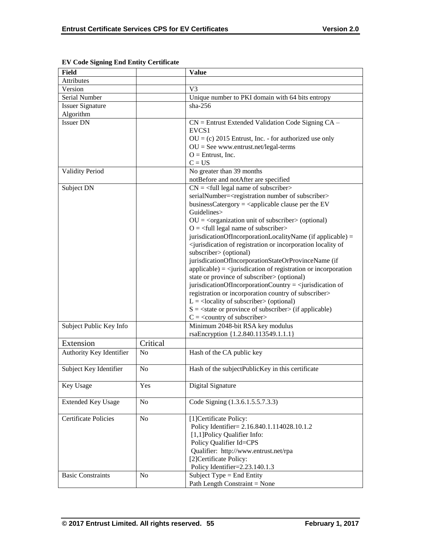| Field                       |                | <b>Value</b>                                                                                                                                                                                                                                                                                                                                                                                                                                                                                                                                                                                                                                                                                                                                                                                                                                                                                                                                                                                                                                                                                                                                       |
|-----------------------------|----------------|----------------------------------------------------------------------------------------------------------------------------------------------------------------------------------------------------------------------------------------------------------------------------------------------------------------------------------------------------------------------------------------------------------------------------------------------------------------------------------------------------------------------------------------------------------------------------------------------------------------------------------------------------------------------------------------------------------------------------------------------------------------------------------------------------------------------------------------------------------------------------------------------------------------------------------------------------------------------------------------------------------------------------------------------------------------------------------------------------------------------------------------------------|
| <b>Attributes</b>           |                |                                                                                                                                                                                                                                                                                                                                                                                                                                                                                                                                                                                                                                                                                                                                                                                                                                                                                                                                                                                                                                                                                                                                                    |
| Version                     |                | V <sub>3</sub>                                                                                                                                                                                                                                                                                                                                                                                                                                                                                                                                                                                                                                                                                                                                                                                                                                                                                                                                                                                                                                                                                                                                     |
| Serial Number               |                | Unique number to PKI domain with 64 bits entropy                                                                                                                                                                                                                                                                                                                                                                                                                                                                                                                                                                                                                                                                                                                                                                                                                                                                                                                                                                                                                                                                                                   |
| <b>Issuer Signature</b>     |                | $sha-256$                                                                                                                                                                                                                                                                                                                                                                                                                                                                                                                                                                                                                                                                                                                                                                                                                                                                                                                                                                                                                                                                                                                                          |
| Algorithm                   |                |                                                                                                                                                                                                                                                                                                                                                                                                                                                                                                                                                                                                                                                                                                                                                                                                                                                                                                                                                                                                                                                                                                                                                    |
| <b>Issuer DN</b>            |                | $CN =$ Entrust Extended Validation Code Signing $CA -$<br>EVCS <sub>1</sub><br>$OU = (c) 2015$ Entrust, Inc. - for authorized use only<br>$OU = See$ www.entrust.net/legal-terms<br>$O =$ Entrust, Inc.<br>$C = US$                                                                                                                                                                                                                                                                                                                                                                                                                                                                                                                                                                                                                                                                                                                                                                                                                                                                                                                                |
| <b>Validity Period</b>      |                | No greater than 39 months<br>notBefore and notAfter are specified                                                                                                                                                                                                                                                                                                                                                                                                                                                                                                                                                                                                                                                                                                                                                                                                                                                                                                                                                                                                                                                                                  |
| Subject DN                  |                | $CN =$ <full legal="" name="" of="" subscriber=""><br/>serialNumber=<registration number="" of="" subscriber=""><br/>businessCatergory = <math>\langle</math>applicable clause per the EV<br/>Guidelines&gt;<br/><math>OU = corganization unit of subscripter &gt; (optional)</math><br/><math>O = \left\langle \text{full legal name of subscripter} \right\rangle</math><br/>jurisdicationOfIncorporationLocalityName (if applicable) =<br/><jurisdication incorporation="" locality="" of="" of<br="" or="" registration="">subscriber&gt; (optional)<br/>jurisdicationOfIncorporationStateOrProvinceName (if<br/><math>applicable) = \langle</math>jurisdication of registration or incorporation<br/>state or province of subscriber&gt; (optional)<br/>jurisdicationOfIncorporationCountry = <math>\le</math>jurisdication of<br/>registration or incorporation country of subscriber&gt;<br/><math>L =</math> <locality of="" subscriber=""> (optional)<br/><math>S = \text{state}</math> or province of subscriber (if applicable)<br/><math>C = \langle</math> country of subscriber&gt;</locality></jurisdication></registration></full> |
| Subject Public Key Info     |                | Minimum 2048-bit RSA key modulus<br>rsaEncryption {1.2.840.113549.1.1.1}                                                                                                                                                                                                                                                                                                                                                                                                                                                                                                                                                                                                                                                                                                                                                                                                                                                                                                                                                                                                                                                                           |
| Extension                   | Critical       |                                                                                                                                                                                                                                                                                                                                                                                                                                                                                                                                                                                                                                                                                                                                                                                                                                                                                                                                                                                                                                                                                                                                                    |
| Authority Key Identifier    | N <sub>o</sub> | Hash of the CA public key                                                                                                                                                                                                                                                                                                                                                                                                                                                                                                                                                                                                                                                                                                                                                                                                                                                                                                                                                                                                                                                                                                                          |
| Subject Key Identifier      | N <sub>o</sub> | Hash of the subjectPublicKey in this certificate                                                                                                                                                                                                                                                                                                                                                                                                                                                                                                                                                                                                                                                                                                                                                                                                                                                                                                                                                                                                                                                                                                   |
| Key Usage                   | Yes            | Digital Signature                                                                                                                                                                                                                                                                                                                                                                                                                                                                                                                                                                                                                                                                                                                                                                                                                                                                                                                                                                                                                                                                                                                                  |
| <b>Extended Key Usage</b>   | No             | Code Signing (1.3.6.1.5.5.7.3.3)                                                                                                                                                                                                                                                                                                                                                                                                                                                                                                                                                                                                                                                                                                                                                                                                                                                                                                                                                                                                                                                                                                                   |
| <b>Certificate Policies</b> | No             | [1] Certificate Policy:<br>Policy Identifier= 2.16.840.1.114028.10.1.2<br>[1,1] Policy Qualifier Info:<br>Policy Qualifier Id=CPS<br>Qualifier: http://www.entrust.net/rpa<br>[2]Certificate Policy:<br>Policy Identifier=2.23.140.1.3                                                                                                                                                                                                                                                                                                                                                                                                                                                                                                                                                                                                                                                                                                                                                                                                                                                                                                             |
| <b>Basic Constraints</b>    | N <sub>o</sub> | Subject Type = End Entity<br>Path Length Constraint = None                                                                                                                                                                                                                                                                                                                                                                                                                                                                                                                                                                                                                                                                                                                                                                                                                                                                                                                                                                                                                                                                                         |

**EV Code Signing End Entity Certificate**